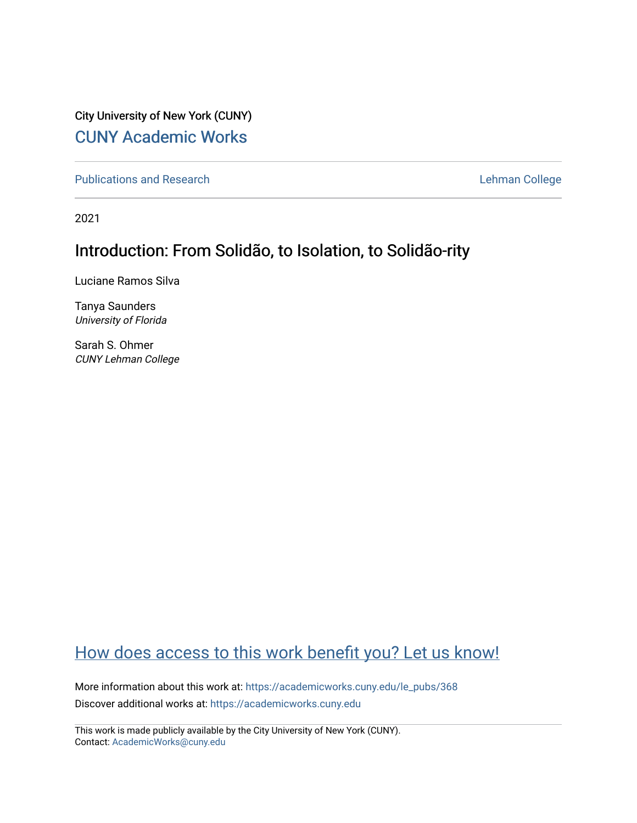City University of New York (CUNY) [CUNY Academic Works](https://academicworks.cuny.edu/) 

[Publications and Research](https://academicworks.cuny.edu/le_pubs) **Lehman College** 

2021

# Introduction: From Solidão, to Isolation, to Solidão-rity

Luciane Ramos Silva

Tanya Saunders University of Florida

Sarah S. Ohmer CUNY Lehman College

# [How does access to this work benefit you? Let us know!](http://ols.cuny.edu/academicworks/?ref=https://academicworks.cuny.edu/le_pubs/368)

More information about this work at: [https://academicworks.cuny.edu/le\\_pubs/368](https://academicworks.cuny.edu/le_pubs/368) Discover additional works at: [https://academicworks.cuny.edu](https://academicworks.cuny.edu/?)

This work is made publicly available by the City University of New York (CUNY). Contact: [AcademicWorks@cuny.edu](mailto:AcademicWorks@cuny.edu)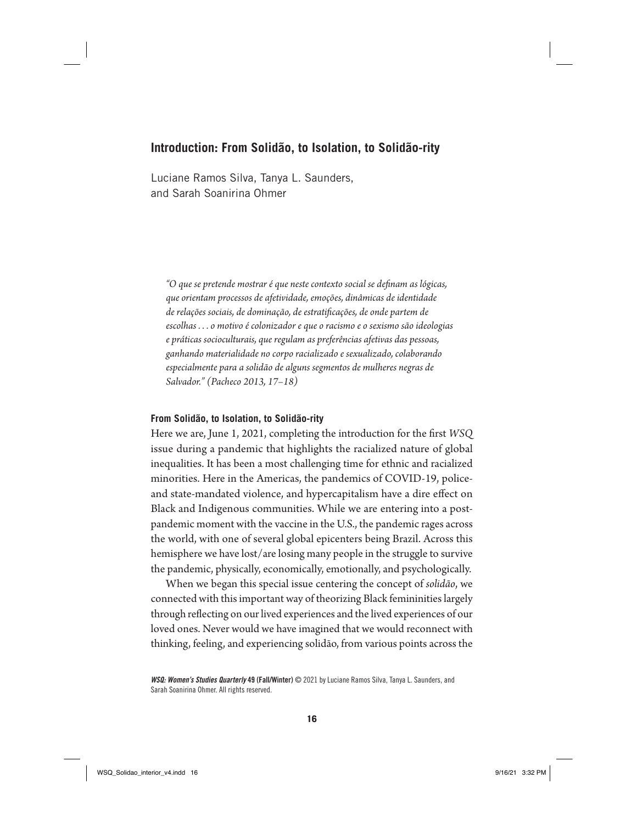Luciane Ramos Silva, Tanya L. Saunders, and Sarah Soanirina Ohmer

*"O que se pretende mostrar é que neste contexto social se de!nam as lógicas, que orientam processos de afetividade, emoções, dinâmicas de identidade de relações sociais, de dominação, de estrati!cações, de onde partem de escolhas . . . o motivo é colonizador e que o racismo e o sexismo são ideologias e práticas socioculturais, que regulam as preferências afetivas das pessoas, ganhando materialidade no corpo racializado e sexualizado, colaborando especialmente para a solidão de alguns segmentos de mulheres negras de Salvador." (Pacheco 2013, 17–18)*

#### **From Solidão, to Isolation, to Solidão-rity**

Here we are, June 1, 2021, completing the introduction for the first *WSQ* issue during a pandemic that highlights the racialized nature of global inequalities. It has been a most challenging time for ethnic and racialized minorities. Here in the Americas, the pandemics of COVID-19, policeand state-mandated violence, and hypercapitalism have a dire effect on Black and Indigenous communities. While we are entering into a postpandemic moment with the vaccine in the U.S., the pandemic rages across the world, with one of several global epicenters being Brazil. Across this hemisphere we have lost/are losing many people in the struggle to survive the pandemic, physically, economically, emotionally, and psychologically.

When we began this special issue centering the concept of *solidão*, we connected with this important way of theorizing Black femininities largely through reflecting on our lived experiences and the lived experiences of our loved ones. Never would we have imagined that we would reconnect with thinking, feeling, and experiencing solidão, from various points across the

*WSQ: Women's Studies Quarterly* 49 (Fall/Winter) © 2021 by Luciane Ramos Silva, Tanya L. Saunders, and Sarah Soanirina Ohmer. All rights reserved.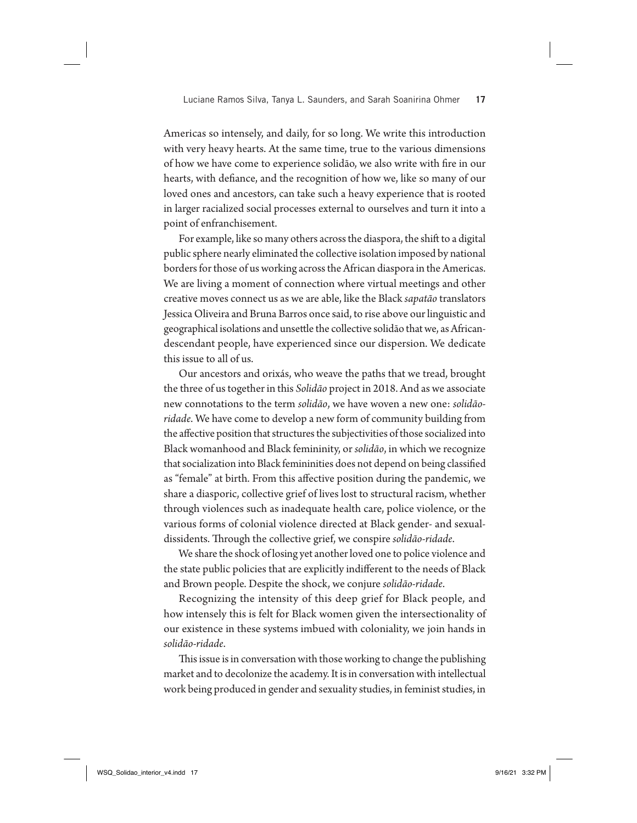Americas so intensely, and daily, for so long. We write this introduction with very heavy hearts. At the same time, true to the various dimensions of how we have come to experience solidão, we also write with fire in our hearts, with defiance, and the recognition of how we, like so many of our loved ones and ancestors, can take such a heavy experience that is rooted in larger racialized social processes external to ourselves and turn it into a point of enfranchisement.

For example, like so many others across the diaspora, the shift to a digital public sphere nearly eliminated the collective isolation imposed by national borders for those of us working across the African diaspora in the Americas. We are living a moment of connection where virtual meetings and other creative moves connect us as we are able, like the Black *sapatão* translators Jessica Oliveira and Bruna Barros once said, to rise above our linguistic and geographical isolations and unsettle the collective solidão that we, as Africandescendant people, have experienced since our dispersion. We dedicate this issue to all of us.

Our ancestors and orixás, who weave the paths that we tread, brought the three of us together in this *Solidão* project in 2018. And as we associate new connotations to the term *solidão*, we have woven a new one: *solidãoridade*. We have come to develop a new form of community building from the affective position that structures the subjectivities of those socialized into Black womanhood and Black femininity, or *solidão*, in which we recognize that socialization into Black femininities does not depend on being classified as "female" at birth. From this affective position during the pandemic, we share a diasporic, collective grief of lives lost to structural racism, whether through violences such as inadequate health care, police violence, or the various forms of colonial violence directed at Black gender- and sexualdissidents. Through the collective grief, we conspire *solidão-ridade*.

We share the shock of losing yet another loved one to police violence and the state public policies that are explicitly indifferent to the needs of Black and Brown people. Despite the shock, we conjure *solidão-ridade*.

Recognizing the intensity of this deep grief for Black people, and how intensely this is felt for Black women given the intersectionality of our existence in these systems imbued with coloniality, we join hands in *solidão-ridade*.

This issue is in conversation with those working to change the publishing market and to decolonize the academy. It is in conversation with intellectual work being produced in gender and sexuality studies, in feminist studies, in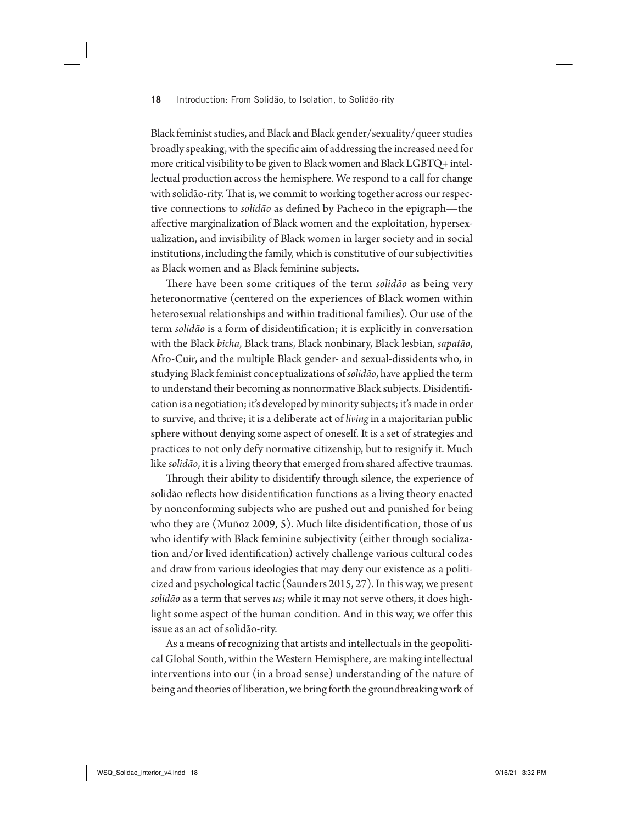Black feminist studies, and Black and Black gender/sexuality/queer studies broadly speaking, with the specific aim of addressing the increased need for more critical visibility to be given to Black women and Black LGBTQ+ intellectual production across the hemisphere. We respond to a call for change with solidão-rity. That is, we commit to working together across our respective connections to *solidão* as defined by Pacheco in the epigraph—the affective marginalization of Black women and the exploitation, hypersexualization, and invisibility of Black women in larger society and in social institutions, including the family, which is constitutive of our subjectivities as Black women and as Black feminine subjects.

There have been some critiques of the term *solidão* as being very heteronormative (centered on the experiences of Black women within heterosexual relationships and within traditional families). Our use of the term *solidão* is a form of disidentification; it is explicitly in conversation with the Black *bicha*, Black trans, Black nonbinary, Black lesbian, *sapatão*, Afro-Cuir, and the multiple Black gender- and sexual-dissidents who, in studying Black feminist conceptualizations of *solidão*, have applied the term to understand their becoming as nonnormative Black subjects. Disidentification is a negotiation; it's developed by minority subjects; it's made in order to survive, and thrive; it is a deliberate act of *living* in a majoritarian public sphere without denying some aspect of oneself. It is a set of strategies and practices to not only defy normative citizenship, but to resignify it. Much like *solidão*, it is a living theory that emerged from shared affective traumas.

Through their ability to disidentify through silence, the experience of solidão reflects how disidentification functions as a living theory enacted by nonconforming subjects who are pushed out and punished for being who they are  $(Muñoz 2009, 5)$ . Much like disidentification, those of us who identify with Black feminine subjectivity (either through socialization and/or lived identification) actively challenge various cultural codes and draw from various ideologies that may deny our existence as a politicized and psychological tactic (Saunders 2015, 27). In this way, we present *solidão* as a term that serves *us*; while it may not serve others, it does highlight some aspect of the human condition. And in this way, we offer this issue as an act of solidão-rity.

As a means of recognizing that artists and intellectuals in the geopolitical Global South, within the Western Hemisphere, are making intellectual interventions into our (in a broad sense) understanding of the nature of being and theories of liberation, we bring forth the groundbreaking work of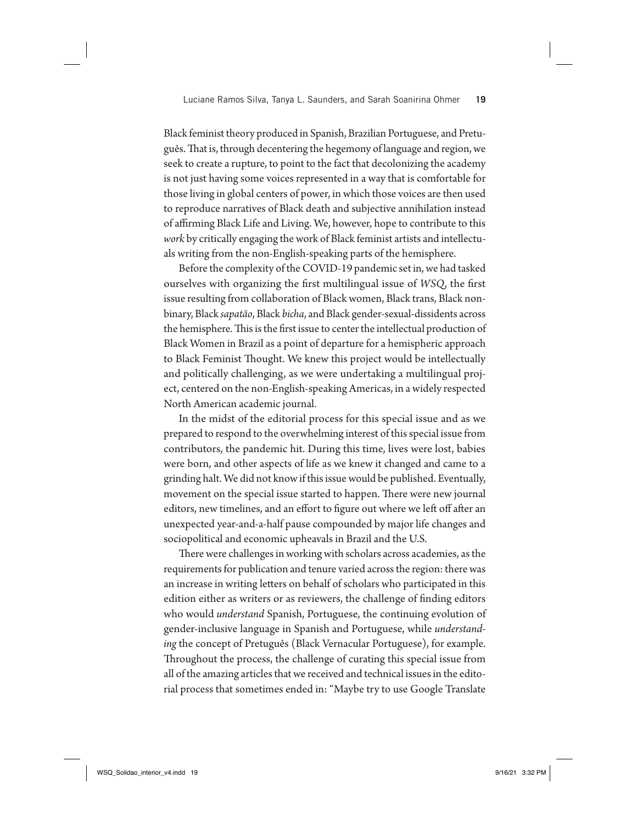Black feminist theory produced in Spanish, Brazilian Portuguese, and Pretuguês. That is, through decentering the hegemony of language and region, we seek to create a rupture, to point to the fact that decolonizing the academy is not just having some voices represented in a way that is comfortable for those living in global centers of power, in which those voices are then used to reproduce narratives of Black death and subjective annihilation instead of affirming Black Life and Living. We, however, hope to contribute to this *work* by critically engaging the work of Black feminist artists and intellectuals writing from the non-English-speaking parts of the hemisphere.

Before the complexity of the COVID-19 pandemic set in, we had tasked ourselves with organizing the first multilingual issue of *WSQ*, the first issue resulting from collaboration of Black women, Black trans, Black nonbinary, Black *sapatão*, Black *bicha*, and Black gender-sexual-dissidents across the hemisphere. This is the first issue to center the intellectual production of Black Women in Brazil as a point of departure for a hemispheric approach to Black Feminist Thought. We knew this project would be intellectually and politically challenging, as we were undertaking a multilingual project, centered on the non-English-speaking Americas, in a widely respected North American academic journal.

In the midst of the editorial process for this special issue and as we prepared to respond to the overwhelming interest of this special issue from contributors, the pandemic hit. During this time, lives were lost, babies were born, and other aspects of life as we knew it changed and came to a grinding halt. We did not know if this issue would be published. Eventually, movement on the special issue started to happen. There were new journal editors, new timelines, and an effort to figure out where we left off after an unexpected year-and-a-half pause compounded by major life changes and sociopolitical and economic upheavals in Brazil and the U.S.

There were challenges in working with scholars across academies, as the requirements for publication and tenure varied across the region: there was an increase in writing letters on behalf of scholars who participated in this edition either as writers or as reviewers, the challenge of finding editors who would *understand* Spanish, Portuguese, the continuing evolution of gender-inclusive language in Spanish and Portuguese, while *understanding* the concept of Pretuguês (Black Vernacular Portuguese), for example. Throughout the process, the challenge of curating this special issue from all of the amazing articles that we received and technical issues in the editorial process that sometimes ended in: "Maybe try to use Google Translate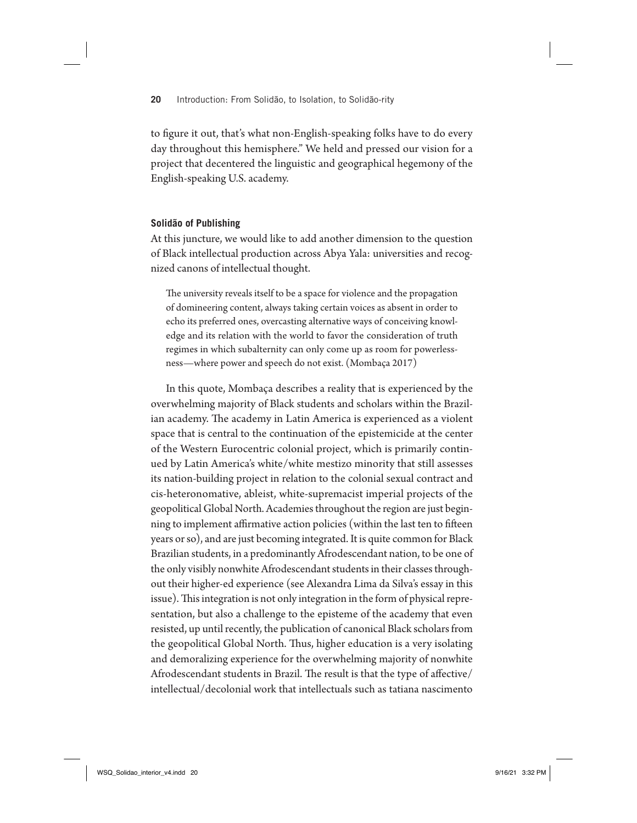to figure it out, that's what non-English-speaking folks have to do every day throughout this hemisphere." We held and pressed our vision for a project that decentered the linguistic and geographical hegemony of the English-speaking U.S. academy.

#### **Solidão of Publishing**

At this juncture, we would like to add another dimension to the question of Black intellectual production across Abya Yala: universities and recognized canons of intellectual thought.

The university reveals itself to be a space for violence and the propagation of domineering content, always taking certain voices as absent in order to echo its preferred ones, overcasting alternative ways of conceiving knowledge and its relation with the world to favor the consideration of truth regimes in which subalternity can only come up as room for powerlessness—where power and speech do not exist. (Mombaça 2017)

In this quote, Mombaça describes a reality that is experienced by the overwhelming majority of Black students and scholars within the Brazilian academy. The academy in Latin America is experienced as a violent space that is central to the continuation of the epistemicide at the center of the Western Eurocentric colonial project, which is primarily continued by Latin America's white/white mestizo minority that still assesses its nation-building project in relation to the colonial sexual contract and cis-heteronomative, ableist, white-supremacist imperial projects of the geopolitical Global North. Academies throughout the region are just beginning to implement affirmative action policies (within the last ten to fifteen years or so), and are just becoming integrated. It is quite common for Black Brazilian students, in a predominantly Afrodescendant nation, to be one of the only visibly nonwhite Afrodescendant students in their classes throughout their higher-ed experience (see Alexandra Lima da Silva's essay in this issue). This integration is not only integration in the form of physical representation, but also a challenge to the episteme of the academy that even resisted, up until recently, the publication of canonical Black scholars from the geopolitical Global North. Thus, higher education is a very isolating and demoralizing experience for the overwhelming majority of nonwhite Afrodescendant students in Brazil. The result is that the type of affective/ intellectual/decolonial work that intellectuals such as tatiana nascimento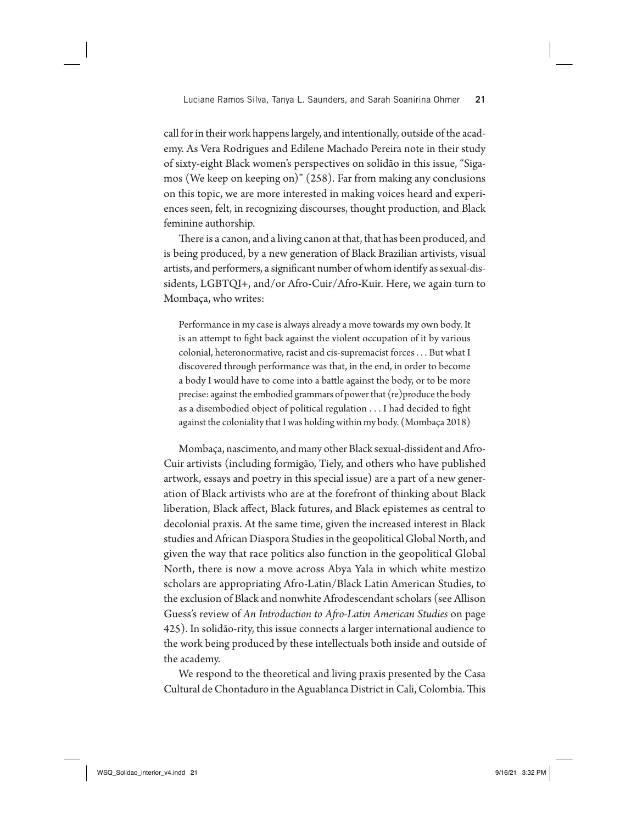call for in their work happens largely, and intentionally, outside of the academy. As Vera Rodrigues and Edilene Machado Pereira note in their study of sixty-eight Black women's perspectives on solidão in this issue, "Sigamos (We keep on keeping on)" (258). Far from making any conclusions on this topic, we are more interested in making voices heard and experiences seen, felt, in recognizing discourses, thought production, and Black feminine authorship.

There is a canon, and a living canon at that, that has been produced, and is being produced, by a new generation of Black Brazilian artivists, visual artists, and performers, a significant number of whom identify as sexual-dissidents, LGBTQI+, and/or Afro-Cuir/Afro-Kuir. Here, we again turn to Mombaça, who writes:

Performance in my case is always already a move towards my own body. It is an attempt to fight back against the violent occupation of it by various colonial, heteronormative, racist and cis-supremacist forces . . . But what I discovered through performance was that, in the end, in order to become a body I would have to come into a battle against the body, or to be more precise: against the embodied grammars of power that (re)produce the body as a disembodied object of political regulation  $\dots$  I had decided to fight against the coloniality that I was holding within my body. (Mombaça 2018)

Mombaça, nascimento, and many other Black sexual-dissident and Afro-Cuir artivists (including formigão, Tiely, and others who have published artwork, essays and poetry in this special issue) are a part of a new generation of Black artivists who are at the forefront of thinking about Black liberation, Black affect, Black futures, and Black epistemes as central to decolonial praxis. At the same time, given the increased interest in Black studies and African Diaspora Studies in the geopolitical Global North, and given the way that race politics also function in the geopolitical Global North, there is now a move across Abya Yala in which white mestizo scholars are appropriating Afro-Latin/Black Latin American Studies, to the exclusion of Black and nonwhite Afrodescendant scholars (see Allison Guess's review of *An Introduction to A#o-Latin American Studies* on page 425). In solidão-rity, this issue connects a larger international audience to the work being produced by these intellectuals both inside and outside of the academy.

We respond to the theoretical and living praxis presented by the Casa Cultural de Chontaduro in the Aguablanca District in Cali, Colombia. This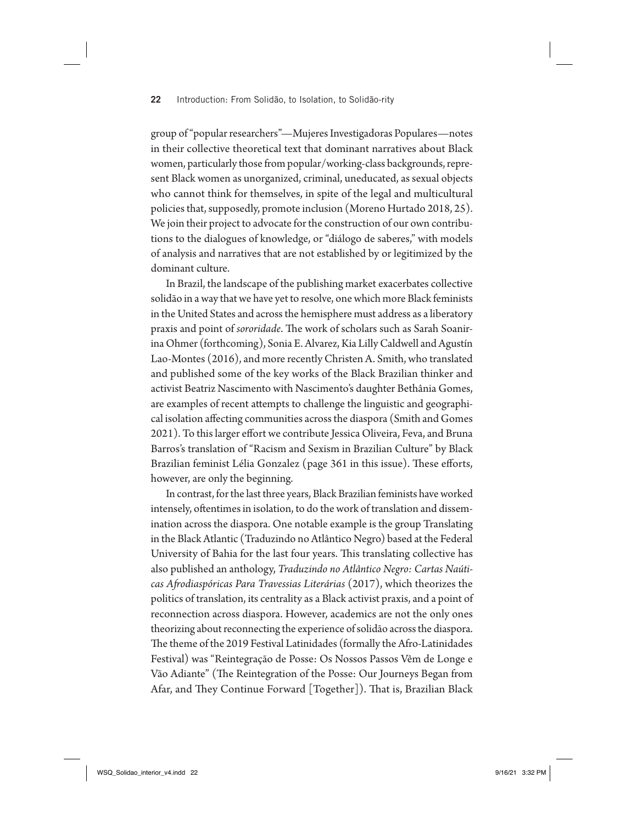group of "popular researchers"—Mujeres Investigadoras Populares—notes in their collective theoretical text that dominant narratives about Black women, particularly those from popular/working-class backgrounds, represent Black women as unorganized, criminal, uneducated, as sexual objects who cannot think for themselves, in spite of the legal and multicultural policies that, supposedly, promote inclusion (Moreno Hurtado 2018, 25). We join their project to advocate for the construction of our own contributions to the dialogues of knowledge, or "diálogo de saberes," with models of analysis and narratives that are not established by or legitimized by the dominant culture.

In Brazil, the landscape of the publishing market exacerbates collective solidão in a way that we have yet to resolve, one which more Black feminists in the United States and across the hemisphere must address as a liberatory praxis and point of *sororidade*. The work of scholars such as Sarah Soanirina Ohmer (forthcoming), Sonia E. Alvarez, Kia Lilly Caldwell and Agustín Lao-Montes (2016), and more recently Christen A. Smith, who translated and published some of the key works of the Black Brazilian thinker and activist Beatriz Nascimento with Nascimento's daughter Bethânia Gomes, are examples of recent attempts to challenge the linguistic and geographical isolation affecting communities across the diaspora (Smith and Gomes 2021). To this larger effort we contribute Jessica Oliveira, Feva, and Bruna Barros's translation of "Racism and Sexism in Brazilian Culture" by Black Brazilian feminist Lélia Gonzalez (page 361 in this issue). These efforts, however, are only the beginning.

In contrast, for the last three years, Black Brazilian feminists have worked intensely, oftentimes in isolation, to do the work of translation and dissemination across the diaspora. One notable example is the group Translating in the Black Atlantic (Traduzindo no Atlântico Negro) based at the Federal University of Bahia for the last four years. This translating collective has also published an anthology, *Traduzindo no Atlântico Negro: Cartas Naúticas A#odiaspóricas Para Travessias Literárias* (2017), which theorizes the politics of translation, its centrality as a Black activist praxis, and a point of reconnection across diaspora. However, academics are not the only ones theorizing about reconnecting the experience of solidão across the diaspora. The theme of the 2019 Festival Latinidades (formally the Afro-Latinidades Festival) was "Reintegração de Posse: Os Nossos Passos Vêm de Longe e Vão Adiante" (The Reintegration of the Posse: Our Journeys Began from Afar, and They Continue Forward [Together]). That is, Brazilian Black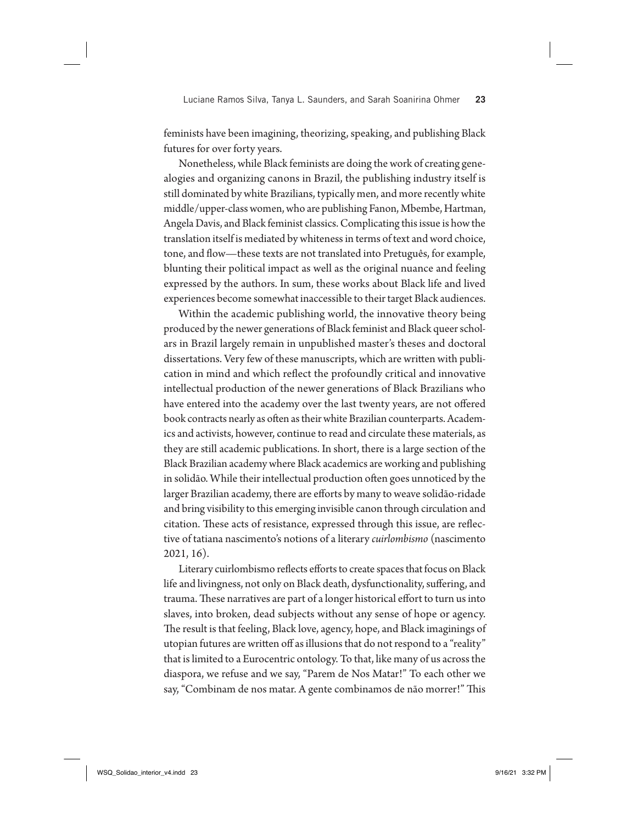Luciane Ramos Silva, Tanya L. Saunders, and Sarah Soanirina Ohmer **23**

feminists have been imagining, theorizing, speaking, and publishing Black futures for over forty years.

Nonetheless, while Black feminists are doing the work of creating genealogies and organizing canons in Brazil, the publishing industry itself is still dominated by white Brazilians, typically men, and more recently white middle/upper-class women, who are publishing Fanon, Mbembe, Hartman, Angela Davis, and Black feminist classics. Complicating this issue is how the translation itself is mediated by whiteness in terms of text and word choice, tone, and flow—these texts are not translated into Pretuguês, for example, blunting their political impact as well as the original nuance and feeling expressed by the authors. In sum, these works about Black life and lived experiences become somewhat inaccessible to their target Black audiences.

Within the academic publishing world, the innovative theory being produced by the newer generations of Black feminist and Black queer scholars in Brazil largely remain in unpublished master's theses and doctoral dissertations. Very few of these manuscripts, which are written with publication in mind and which reflect the profoundly critical and innovative intellectual production of the newer generations of Black Brazilians who have entered into the academy over the last twenty years, are not offered book contracts nearly as often as their white Brazilian counterparts. Academics and activists, however, continue to read and circulate these materials, as they are still academic publications. In short, there is a large section of the Black Brazilian academy where Black academics are working and publishing in solidão. While their intellectual production often goes unnoticed by the larger Brazilian academy, there are efforts by many to weave solidão-ridade and bring visibility to this emerging invisible canon through circulation and citation. These acts of resistance, expressed through this issue, are reflective of tatiana nascimento's notions of a literary *cuirlombismo* (nascimento 2021, 16).

Literary cuirlombismo reflects efforts to create spaces that focus on Black life and livingness, not only on Black death, dysfunctionality, suffering, and trauma. These narratives are part of a longer historical effort to turn us into slaves, into broken, dead subjects without any sense of hope or agency. The result is that feeling, Black love, agency, hope, and Black imaginings of utopian futures are written off as illusions that do not respond to a "reality" that is limited to a Eurocentric ontology. To that, like many of us across the diaspora, we refuse and we say, "Parem de Nos Matar!" To each other we say, "Combinam de nos matar. A gente combinamos de não morrer!" This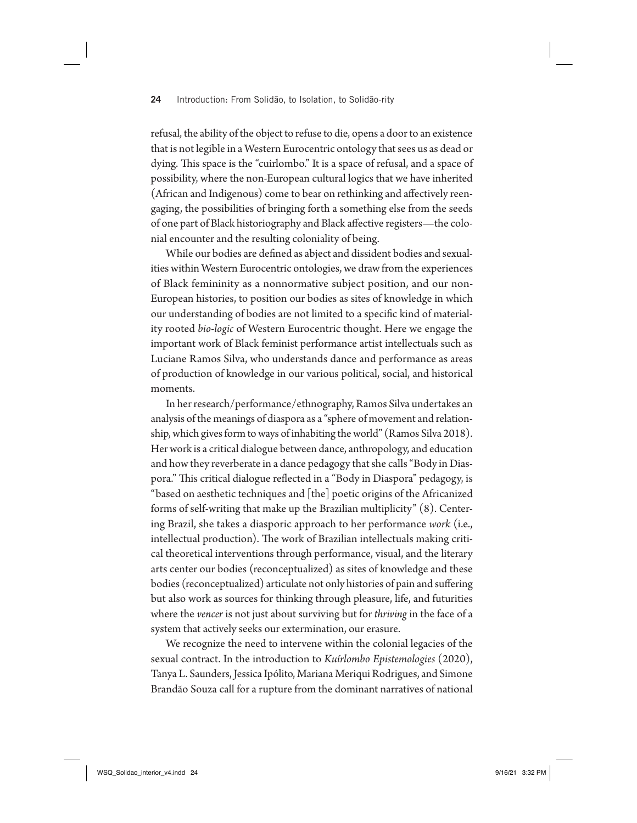refusal, the ability of the object to refuse to die, opens a door to an existence that is not legible in a Western Eurocentric ontology that sees us as dead or dying. This space is the "cuirlombo." It is a space of refusal, and a space of possibility, where the non-European cultural logics that we have inherited (African and Indigenous) come to bear on rethinking and affectively reengaging, the possibilities of bringing forth a something else from the seeds of one part of Black historiography and Black affective registers—the colonial encounter and the resulting coloniality of being.

While our bodies are defined as abject and dissident bodies and sexualities within Western Eurocentric ontologies, we draw from the experiences of Black femininity as a nonnormative subject position, and our non-European histories, to position our bodies as sites of knowledge in which our understanding of bodies are not limited to a specific kind of materiality rooted *bio-logic* of Western Eurocentric thought. Here we engage the important work of Black feminist performance artist intellectuals such as Luciane Ramos Silva, who understands dance and performance as areas of production of knowledge in our various political, social, and historical moments.

In her research/performance/ethnography, Ramos Silva undertakes an analysis of the meanings of diaspora as a "sphere of movement and relationship, which gives form to ways of inhabiting the world" (Ramos Silva 2018). Her work is a critical dialogue between dance, anthropology, and education and how they reverberate in a dance pedagogy that she calls "Body in Diaspora." This critical dialogue reflected in a "Body in Diaspora" pedagogy, is "based on aesthetic techniques and [the] poetic origins of the Africanized forms of self-writing that make up the Brazilian multiplicity" (8). Centering Brazil, she takes a diasporic approach to her performance *work* (i.e., intellectual production). The work of Brazilian intellectuals making critical theoretical interventions through performance, visual, and the literary arts center our bodies (reconceptualized) as sites of knowledge and these bodies (reconceptualized) articulate not only histories of pain and suffering but also work as sources for thinking through pleasure, life, and futurities where the *vencer* is not just about surviving but for *thriving* in the face of a system that actively seeks our extermination, our erasure.

We recognize the need to intervene within the colonial legacies of the sexual contract. In the introduction to *Kuírlombo Epistemologies* (2020), Tanya L. Saunders, Jessica Ipólito, Mariana Meriqui Rodrigues, and Simone Brandão Souza call for a rupture from the dominant narratives of national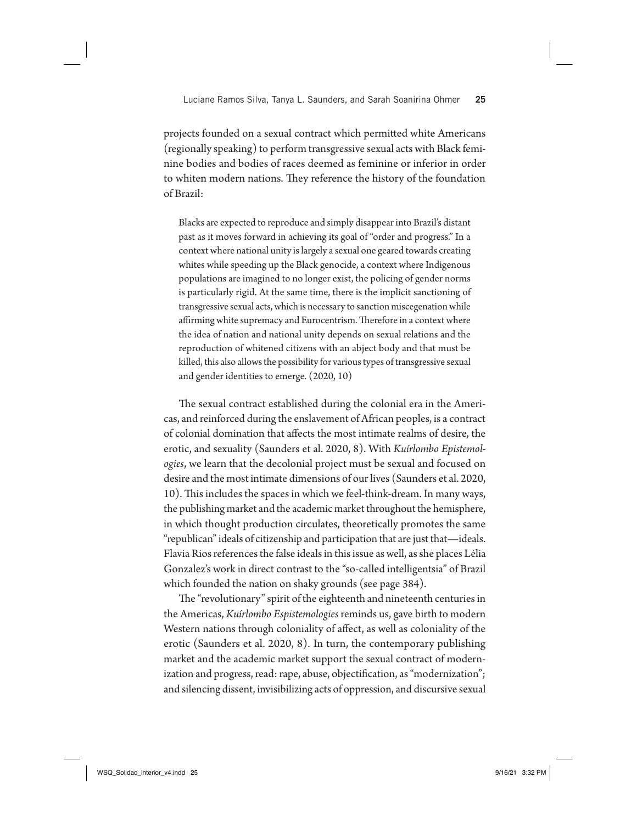projects founded on a sexual contract which permitted white Americans (regionally speaking) to perform transgressive sexual acts with Black feminine bodies and bodies of races deemed as feminine or inferior in order to whiten modern nations. They reference the history of the foundation of Brazil:

Blacks are expected to reproduce and simply disappear into Brazil's distant past as it moves forward in achieving its goal of "order and progress." In a context where national unity is largely a sexual one geared towards creating whites while speeding up the Black genocide, a context where Indigenous populations are imagined to no longer exist, the policing of gender norms is particularly rigid. At the same time, there is the implicit sanctioning of transgressive sexual acts, which is necessary to sanction miscegenation while affirming white supremacy and Eurocentrism. Therefore in a context where the idea of nation and national unity depends on sexual relations and the reproduction of whitened citizens with an abject body and that must be killed, this also allows the possibility for various types of transgressive sexual and gender identities to emerge. (2020, 10)

The sexual contract established during the colonial era in the Americas, and reinforced during the enslavement of African peoples, is a contract of colonial domination that affects the most intimate realms of desire, the erotic, and sexuality (Saunders et al. 2020, 8). With *Kuírlombo Epistemologies*, we learn that the decolonial project must be sexual and focused on desire and the most intimate dimensions of our lives (Saunders et al. 2020, 10). This includes the spaces in which we feel-think-dream. In many ways, the publishing market and the academic market throughout the hemisphere, in which thought production circulates, theoretically promotes the same "republican" ideals of citizenship and participation that are just that—ideals. Flavia Rios references the false ideals in this issue as well, as she places Lélia Gonzalez's work in direct contrast to the "so-called intelligentsia" of Brazil which founded the nation on shaky grounds (see page 384).

The "revolutionary" spirit of the eighteenth and nineteenth centuries in the Americas, *Kuírlombo Espistemologies* reminds us, gave birth to modern Western nations through coloniality of affect, as well as coloniality of the erotic (Saunders et al. 2020, 8). In turn, the contemporary publishing market and the academic market support the sexual contract of modernization and progress, read: rape, abuse, objectification, as "modernization"; and silencing dissent, invisibilizing acts of oppression, and discursive sexual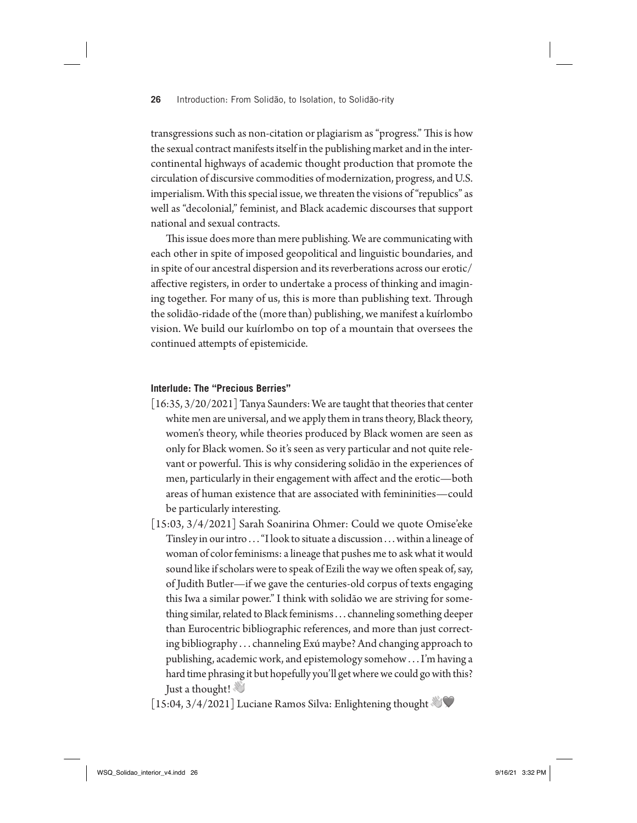transgressions such as non-citation or plagiarism as "progress." This is how the sexual contract manifests itself in the publishing market and in the intercontinental highways of academic thought production that promote the circulation of discursive commodities of modernization, progress, and U.S. imperialism. With this special issue, we threaten the visions of "republics" as well as "decolonial," feminist, and Black academic discourses that support national and sexual contracts.

This issue does more than mere publishing. We are communicating with each other in spite of imposed geopolitical and linguistic boundaries, and in spite of our ancestral dispersion and its reverberations across our erotic/ affective registers, in order to undertake a process of thinking and imagining together. For many of us, this is more than publishing text. Through the solidão-ridade of the (more than) publishing, we manifest a kuírlombo vision. We build our kuírlombo on top of a mountain that oversees the continued attempts of epistemicide.

#### **Interlude: The "Precious Berries"**

- [16:35, 3/20/2021] Tanya Saunders: We are taught that theories that center white men are universal, and we apply them in trans theory, Black theory, women's theory, while theories produced by Black women are seen as only for Black women. So it's seen as very particular and not quite relevant or powerful. This is why considering solidão in the experiences of men, particularly in their engagement with affect and the erotic—both areas of human existence that are associated with femininities—could be particularly interesting.
- [15:03, 3/4/2021] Sarah Soanirina Ohmer: Could we quote Omise'eke Tinsley in our intro . . . "I look to situate a discussion . . . within a lineage of woman of color feminisms: a lineage that pushes me to ask what it would sound like if scholars were to speak of Ezili the way we often speak of, say, of Judith Butler—if we gave the centuries-old corpus of texts engaging this Iwa a similar power." I think with solidão we are striving for something similar, related to Black feminisms . . . channeling something deeper than Eurocentric bibliographic references, and more than just correcting bibliography . . . channeling Exú maybe? And changing approach to publishing, academic work, and epistemology somehow . . . I'm having a hard time phrasing it but hopefully you'll get where we could go with this? Just a thought!

[15:04, 3/4/2021] Luciane Ramos Silva: Enlightening thought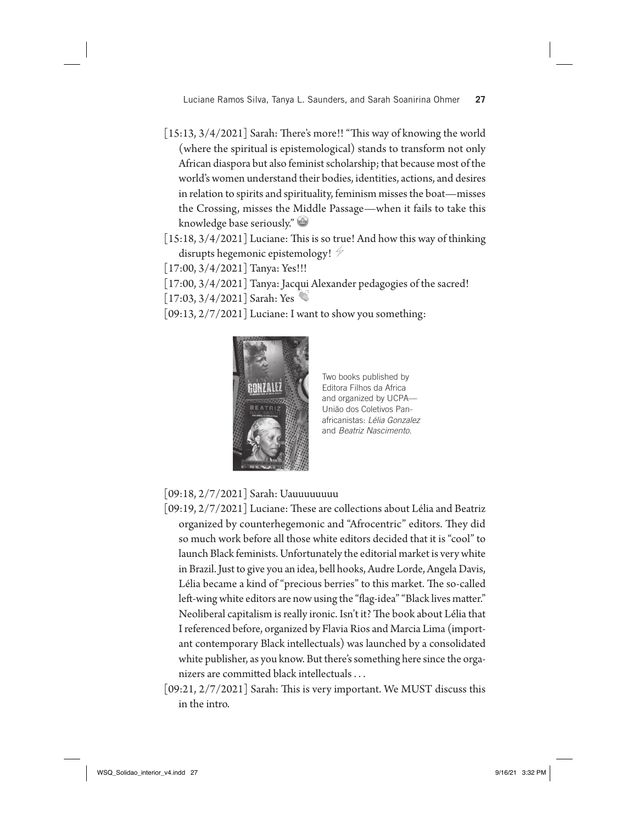Luciane Ramos Silva, Tanya L. Saunders, and Sarah Soanirina Ohmer **27**

- $[15:13, 3/4/2021]$  Sarah: There's more!! "This way of knowing the world (where the spiritual is epistemological) stands to transform not only African diaspora but also feminist scholarship; that because most of the world's women understand their bodies, identities, actions, and desires in relation to spirits and spirituality, feminism misses the boat—misses the Crossing, misses the Middle Passage—when it fails to take this knowledge base seriously."
- $\lfloor 15:18, 3/4/2021 \rfloor$  Luciane: This is so true! And how this way of thinking disrupts hegemonic epistemology!
- [17:00, 3/4/2021] Tanya: Yes!!!
- [17:00, 3/4/2021] Tanya: Jacqui Alexander pedagogies of the sacred!
- [17:03, 3/4/2021] Sarah: Yes
- [09:13, 2/7/2021] Luciane: I want to show you something:



Two books published by Editora Filhos da Africa and organized by UCPA— União dos Coletivos Panafricanistas: *Lélia Gonzalez* and *Beatriz Nascimento*.

[09:18, 2/7/2021] Sarah: Uauuuuuuuu

- $[09:19, 2/7/2021]$  Luciane: These are collections about Lélia and Beatriz organized by counterhegemonic and "Afrocentric" editors. They did so much work before all those white editors decided that it is "cool" to launch Black feminists. Unfortunately the editorial market is very white in Brazil. Just to give you an idea, bell hooks, Audre Lorde, Angela Davis, Lélia became a kind of "precious berries" to this market. The so-called left-wing white editors are now using the "flag-idea" "Black lives matter." Neoliberal capitalism is really ironic. Isn't it? The book about Lélia that I referenced before, organized by Flavia Rios and Marcia Lima (important contemporary Black intellectuals) was launched by a consolidated white publisher, as you know. But there's something here since the organizers are committed black intellectuals . . .
- $[09:21, 2/7/2021]$  Sarah: This is very important. We MUST discuss this in the intro.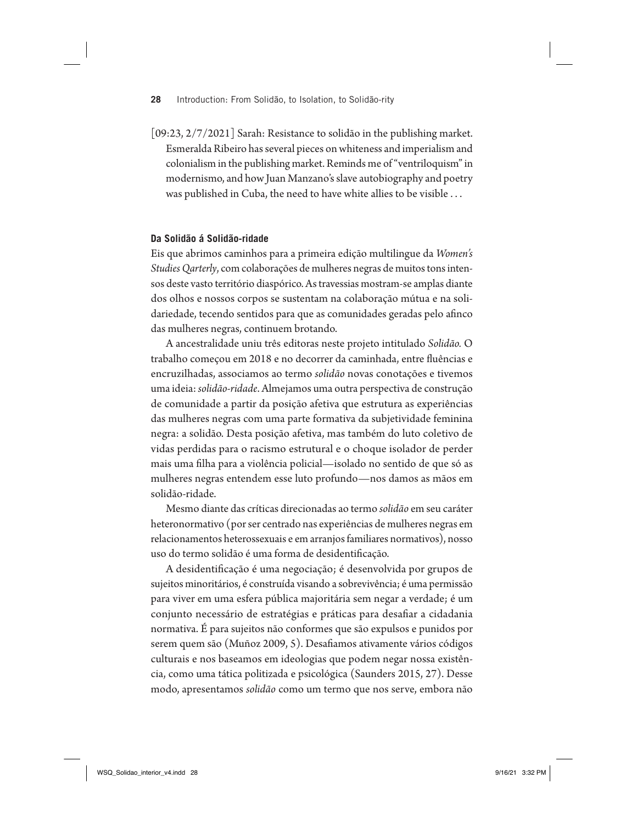$[09:23, 2/7/2021]$  Sarah: Resistance to solidão in the publishing market. Esmeralda Ribeiro has several pieces on whiteness and imperialism and colonialism in the publishing market. Reminds me of "ventriloquism" in modernismo, and how Juan Manzano's slave autobiography and poetry was published in Cuba, the need to have white allies to be visible . . .

### **Da Solidão á Solidão-ridade**

Eis que abrimos caminhos para a primeira edição multilingue da *Women's Studies Qarterly*, com colaborações de mulheres negras de muitos tons intensos deste vasto território diaspórico. As travessias mostram-se amplas diante dos olhos e nossos corpos se sustentam na colaboração mútua e na solidariedade, tecendo sentidos para que as comunidades geradas pelo afinco das mulheres negras, continuem brotando.

A ancestralidade uniu três editoras neste projeto intitulado *Solidão.* O trabalho começou em 2018 e no decorrer da caminhada, entre fluências e encruzilhadas, associamos ao termo *solidão* novas conotações e tivemos uma ideia: *solidão-ridade*. Almejamos uma outra perspectiva de construção de comunidade a partir da posição afetiva que estrutura as experiências das mulheres negras com uma parte formativa da subjetividade feminina negra: a solidão. Desta posição afetiva, mas também do luto coletivo de vidas perdidas para o racismo estrutural e o choque isolador de perder mais uma !lha para a violência policial—isolado no sentido de que só as mulheres negras entendem esse luto profundo—nos damos as mãos em solidão-ridade.

Mesmo diante das críticas direcionadas ao termo *solidão* em seu caráter heteronormativo (por ser centrado nas experiências de mulheres negras em relacionamentos heterossexuais e em arranjos familiares normativos), nosso uso do termo solidão é uma forma de desidentificação.

A desidentificação é uma negociação; é desenvolvida por grupos de sujeitos minoritários, é construída visando a sobrevivência; é uma permissão para viver em uma esfera pública majoritária sem negar a verdade; é um conjunto necessário de estratégias e práticas para desafiar a cidadania normativa. É para sujeitos não conformes que são expulsos e punidos por serem quem são (Muñoz 2009, 5). Desafiamos ativamente vários códigos culturais e nos baseamos em ideologias que podem negar nossa existência, como uma tática politizada e psicológica (Saunders 2015, 27). Desse modo, apresentamos *solidão* como um termo que nos serve, embora não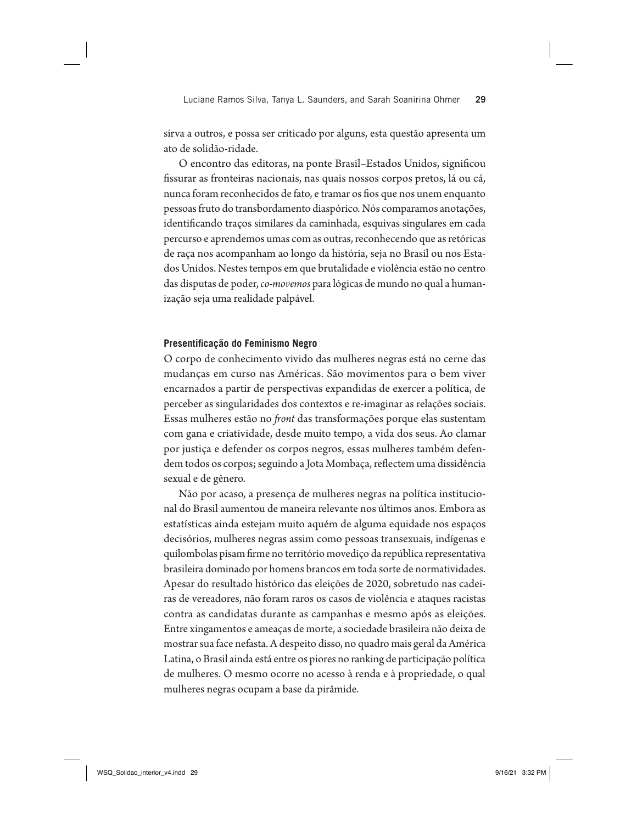Luciane Ramos Silva, Tanya L. Saunders, and Sarah Soanirina Ohmer **29**

sirva a outros, e possa ser criticado por alguns, esta questão apresenta um ato de solidão-ridade.

O encontro das editoras, na ponte Brasil-Estados Unidos, significou !ssurar as fronteiras nacionais, nas quais nossos corpos pretos, lá ou cá, nunca foram reconhecidos de fato, e tramar os fios que nos unem enquanto pessoas fruto do transbordamento diaspórico. Nós comparamos anotações, identificando traços similares da caminhada, esquivas singulares em cada percurso e aprendemos umas com as outras, reconhecendo que as retóricas de raça nos acompanham ao longo da história, seja no Brasil ou nos Estados Unidos. Nestes tempos em que brutalidade e violência estão no centro das disputas de poder, *co-movemos* para lógicas de mundo no qual a humanização seja uma realidade palpável.

#### **Presentificação do Feminismo Negro**

O corpo de conhecimento vivido das mulheres negras está no cerne das mudanças em curso nas Américas. São movimentos para o bem viver encarnados a partir de perspectivas expandidas de exercer a política, de perceber as singularidades dos contextos e re-imaginar as relações sociais. Essas mulheres estão no *#ont* das transformações porque elas sustentam com gana e criatividade, desde muito tempo, a vida dos seus. Ao clamar por justiça e defender os corpos negros, essas mulheres também defendem todos os corpos; seguindo a Jota Mombaça, reflectem uma dissidência sexual e de gênero.

Não por acaso, a presença de mulheres negras na política institucional do Brasil aumentou de maneira relevante nos últimos anos. Embora as estatísticas ainda estejam muito aquém de alguma equidade nos espaços decisórios, mulheres negras assim como pessoas transexuais, indígenas e quilombolas pisam firme no território movediço da república representativa brasileira dominado por homens brancos em toda sorte de normatividades. Apesar do resultado histórico das eleições de 2020, sobretudo nas cadeiras de vereadores, não foram raros os casos de violência e ataques racistas contra as candidatas durante as campanhas e mesmo após as eleições. Entre xingamentos e ameaças de morte, a sociedade brasileira não deixa de mostrar sua face nefasta. A despeito disso, no quadro mais geral da América Latina, o Brasil ainda está entre os piores no ranking de participação política de mulheres. O mesmo ocorre no acesso à renda e à propriedade, o qual mulheres negras ocupam a base da pirâmide.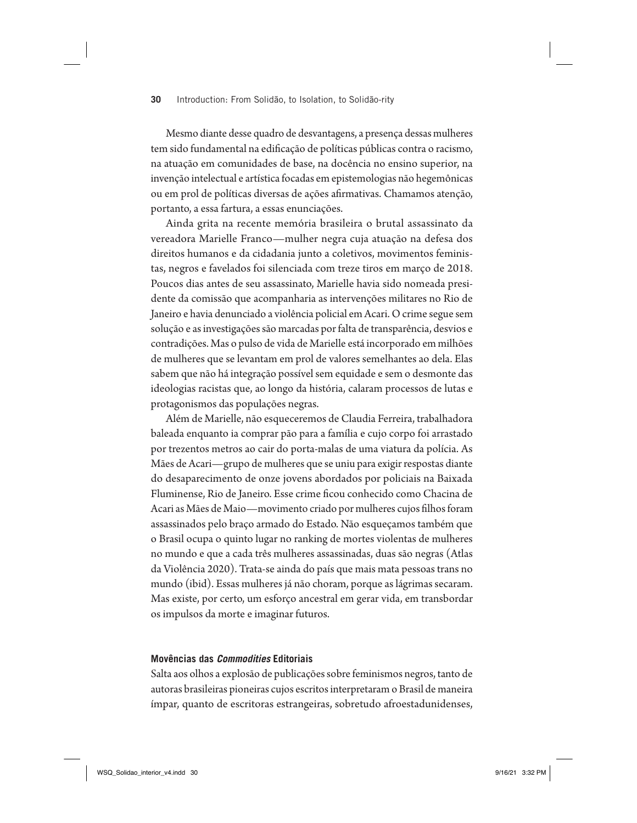Mesmo diante desse quadro de desvantagens, a presença dessas mulheres tem sido fundamental na edificação de políticas públicas contra o racismo, na atuação em comunidades de base, na docência no ensino superior, na invenção intelectual e artística focadas em epistemologias não hegemônicas ou em prol de políticas diversas de ações afirmativas. Chamamos atenção, portanto, a essa fartura, a essas enunciações.

Ainda grita na recente memória brasileira o brutal assassinato da vereadora Marielle Franco—mulher negra cuja atuação na defesa dos direitos humanos e da cidadania junto a coletivos, movimentos feministas, negros e favelados foi silenciada com treze tiros em março de 2018. Poucos dias antes de seu assassinato, Marielle havia sido nomeada presidente da comissão que acompanharia as intervenções militares no Rio de Janeiro e havia denunciado a violência policial em Acari. O crime segue sem solução e as investigações são marcadas por falta de transparência, desvios e contradições. Mas o pulso de vida de Marielle está incorporado em milhões de mulheres que se levantam em prol de valores semelhantes ao dela. Elas sabem que não há integração possível sem equidade e sem o desmonte das ideologias racistas que, ao longo da história, calaram processos de lutas e protagonismos das populações negras.

Além de Marielle, não esqueceremos de Claudia Ferreira, trabalhadora baleada enquanto ia comprar pão para a família e cujo corpo foi arrastado por trezentos metros ao cair do porta-malas de uma viatura da polícia. As Mães de Acari—grupo de mulheres que se uniu para exigir respostas diante do desaparecimento de onze jovens abordados por policiais na Baixada Fluminense, Rio de Janeiro. Esse crime ficou conhecido como Chacina de Acari as Mães de Maio—movimento criado por mulheres cujos filhos foram assassinados pelo braço armado do Estado. Não esqueçamos também que o Brasil ocupa o quinto lugar no ranking de mortes violentas de mulheres no mundo e que a cada três mulheres assassinadas, duas são negras (Atlas da Violência 2020). Trata-se ainda do país que mais mata pessoas trans no mundo (ibid). Essas mulheres já não choram, porque as lágrimas secaram. Mas existe, por certo, um esforço ancestral em gerar vida, em transbordar os impulsos da morte e imaginar futuros.

#### **Movências das** *Commodities* **Editoriais**

Salta aos olhos a explosão de publicações sobre feminismos negros, tanto de autoras brasileiras pioneiras cujos escritos interpretaram o Brasil de maneira ímpar, quanto de escritoras estrangeiras, sobretudo afroestadunidenses,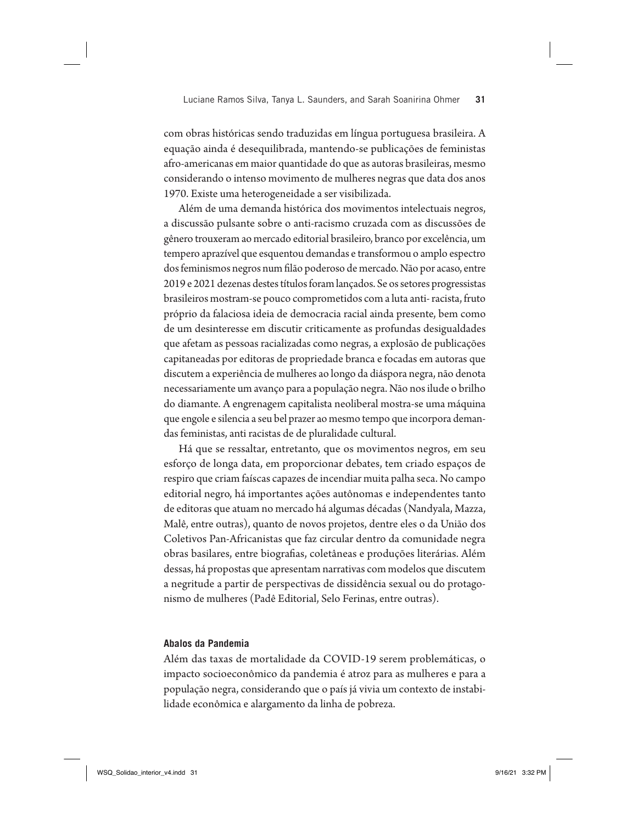com obras históricas sendo traduzidas em língua portuguesa brasileira. A equação ainda é desequilibrada, mantendo-se publicações de feministas afro-americanas em maior quantidade do que as autoras brasileiras, mesmo considerando o intenso movimento de mulheres negras que data dos anos 1970. Existe uma heterogeneidade a ser visibilizada.

Além de uma demanda histórica dos movimentos intelectuais negros, a discussão pulsante sobre o anti-racismo cruzada com as discussões de gênero trouxeram ao mercado editorial brasileiro, branco por excelência, um tempero aprazível que esquentou demandas e transformou o amplo espectro dos feminismos negros num filão poderoso de mercado. Não por acaso, entre 2019 e 2021 dezenas destes títulos foram lançados. Se os setores progressistas brasileiros mostram-se pouco comprometidos com a luta anti- racista, fruto próprio da falaciosa ideia de democracia racial ainda presente, bem como de um desinteresse em discutir criticamente as profundas desigualdades que afetam as pessoas racializadas como negras, a explosão de publicações capitaneadas por editoras de propriedade branca e focadas em autoras que discutem a experiência de mulheres ao longo da diáspora negra, não denota necessariamente um avanço para a população negra. Não nos ilude o brilho do diamante. A engrenagem capitalista neoliberal mostra-se uma máquina que engole e silencia a seu bel prazer ao mesmo tempo que incorpora demandas feministas, anti racistas de de pluralidade cultural.

Há que se ressaltar, entretanto, que os movimentos negros, em seu esforço de longa data, em proporcionar debates, tem criado espaços de respiro que criam faíscas capazes de incendiar muita palha seca. No campo editorial negro, há importantes ações autônomas e independentes tanto de editoras que atuam no mercado há algumas décadas (Nandyala, Mazza, Malê, entre outras), quanto de novos projetos, dentre eles o da União dos Coletivos Pan-Africanistas que faz circular dentro da comunidade negra obras basilares, entre biogra!as, coletâneas e produções literárias. Além dessas, há propostas que apresentam narrativas com modelos que discutem a negritude a partir de perspectivas de dissidência sexual ou do protagonismo de mulheres (Padê Editorial, Selo Ferinas, entre outras).

#### **Abalos da Pandemia**

Além das taxas de mortalidade da COVID-19 serem problemáticas, o impacto socioeconômico da pandemia é atroz para as mulheres e para a população negra, considerando que o país já vivia um contexto de instabilidade econômica e alargamento da linha de pobreza.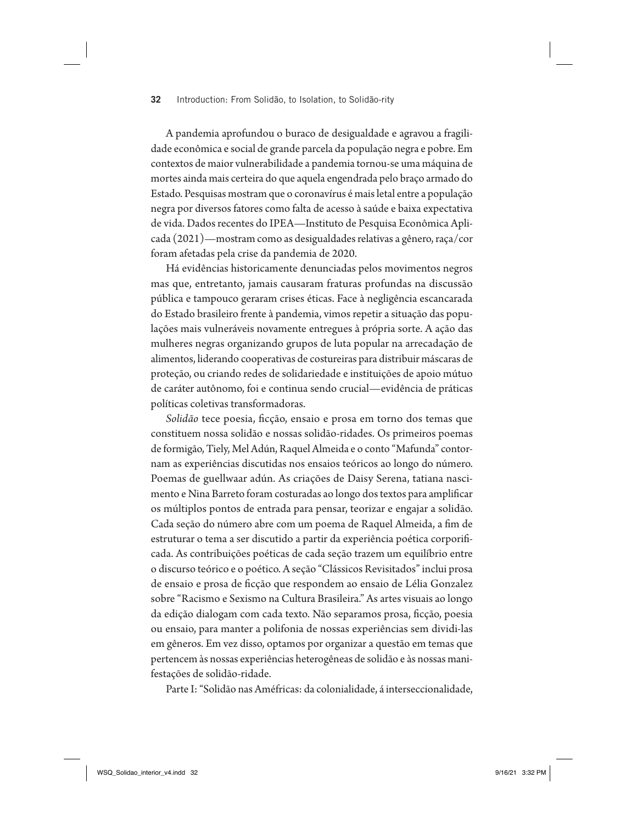A pandemia aprofundou o buraco de desigualdade e agravou a fragilidade econômica e social de grande parcela da população negra e pobre. Em contextos de maior vulnerabilidade a pandemia tornou-se uma máquina de mortes ainda mais certeira do que aquela engendrada pelo braço armado do Estado. Pesquisas mostram que o coronavírus é mais letal entre a população negra por diversos fatores como falta de acesso à saúde e baixa expectativa de vida. Dados recentes do IPEA—Instituto de Pesquisa Econômica Aplicada (2021)—mostram como as desigualdades relativas a gênero, raça/cor foram afetadas pela crise da pandemia de 2020.

Há evidências historicamente denunciadas pelos movimentos negros mas que, entretanto, jamais causaram fraturas profundas na discussão pública e tampouco geraram crises éticas. Face à negligência escancarada do Estado brasileiro frente à pandemia, vimos repetir a situação das populações mais vulneráveis novamente entregues à própria sorte. A ação das mulheres negras organizando grupos de luta popular na arrecadação de alimentos, liderando cooperativas de costureiras para distribuir máscaras de proteção, ou criando redes de solidariedade e instituições de apoio mútuo de caráter autônomo, foi e continua sendo crucial—evidência de práticas políticas coletivas transformadoras.

*Solidão* tece poesia, !cção, ensaio e prosa em torno dos temas que constituem nossa solidão e nossas solidão-ridades. Os primeiros poemas de formigão, Tiely, Mel Adún, Raquel Almeida e o conto "Mafunda" contornam as experiências discutidas nos ensaios teóricos ao longo do número. Poemas de guellwaar adún. As criações de Daisy Serena, tatiana nascimento e Nina Barreto foram costuradas ao longo dos textos para amplificar os múltiplos pontos de entrada para pensar, teorizar e engajar a solidão. Cada seção do número abre com um poema de Raquel Almeida, a fim de estruturar o tema a ser discutido a partir da experiência poética corporificada. As contribuições poéticas de cada seção trazem um equilíbrio entre o discurso teórico e o poético. A seção "Clássicos Revisitados" inclui prosa de ensaio e prosa de ficção que respondem ao ensaio de Lélia Gonzalez sobre "Racismo e Sexismo na Cultura Brasileira." As artes visuais ao longo da edição dialogam com cada texto. Não separamos prosa, ficção, poesia ou ensaio, para manter a polifonia de nossas experiências sem dividi-las em gêneros. Em vez disso, optamos por organizar a questão em temas que pertencem às nossas experiências heterogêneas de solidão e às nossas manifestações de solidão-ridade.

Parte I: "Solidão nas Améfricas: da colonialidade, á interseccionalidade,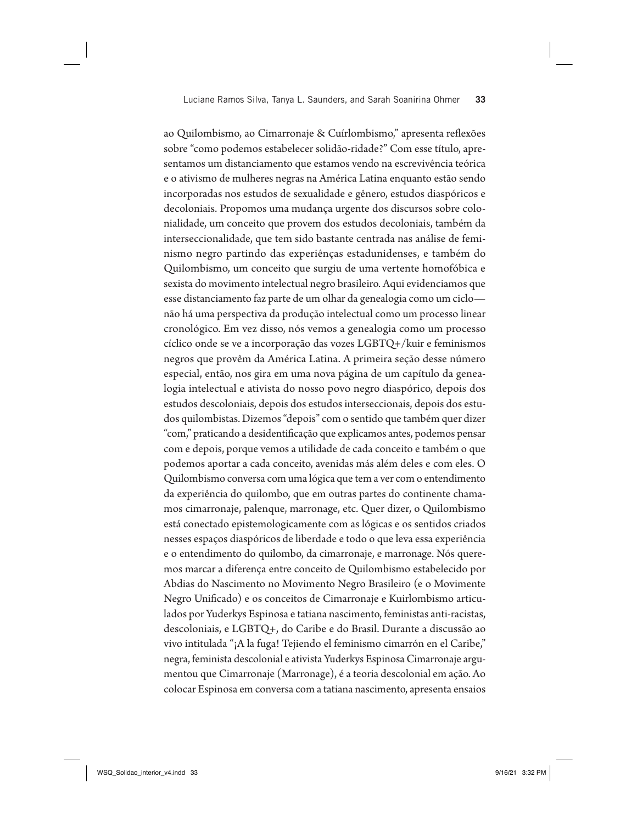ao Quilombismo, ao Cimarronaje & Cuírlombismo," apresenta reflexões sobre "como podemos estabelecer solidão-ridade?" Com esse título, apresentamos um distanciamento que estamos vendo na escrevivência teórica e o ativismo de mulheres negras na América Latina enquanto estão sendo incorporadas nos estudos de sexualidade e gênero, estudos diaspóricos e decoloniais. Propomos uma mudança urgente dos discursos sobre colonialidade, um conceito que provem dos estudos decoloniais, também da interseccionalidade, que tem sido bastante centrada nas análise de feminismo negro partindo das experiênças estadunidenses, e também do Quilombismo, um conceito que surgiu de uma vertente homofóbica e sexista do movimento intelectual negro brasileiro. Aqui evidenciamos que esse distanciamento faz parte de um olhar da genealogia como um ciclo não há uma perspectiva da produção intelectual como um processo linear cronológico. Em vez disso, nós vemos a genealogia como um processo cíclico onde se ve a incorporação das vozes LGBTQ+/kuir e feminismos negros que provêm da América Latina. A primeira seção desse número especial, então, nos gira em uma nova página de um capítulo da genealogia intelectual e ativista do nosso povo negro diaspórico, depois dos estudos descoloniais, depois dos estudos interseccionais, depois dos estudos quilombistas. Dizemos "depois" com o sentido que também quer dizer "com," praticando a desidenti!cação que explicamos antes, podemos pensar com e depois, porque vemos a utilidade de cada conceito e também o que podemos aportar a cada conceito, avenidas más além deles e com eles. O Quilombismo conversa com uma lógica que tem a ver com o entendimento da experiência do quilombo, que em outras partes do continente chamamos cimarronaje, palenque, marronage, etc. Quer dizer, o Quilombismo está conectado epistemologicamente com as lógicas e os sentidos criados nesses espaços diaspóricos de liberdade e todo o que leva essa experiência e o entendimento do quilombo, da cimarronaje, e marronage. Nós queremos marcar a diferença entre conceito de Quilombismo estabelecido por Abdias do Nascimento no Movimento Negro Brasileiro (e o Movimente Negro Unificado) e os conceitos de Cimarronaje e Kuirlombismo articulados por Yuderkys Espinosa e tatiana nascimento, feministas anti-racistas, descoloniais, e LGBTQ+, do Caribe e do Brasil. Durante a discussão ao vivo intitulada "¡A la fuga! Tejiendo el feminismo cimarrón en el Caribe," negra, feminista descolonial e ativista Yuderkys Espinosa Cimarronaje argumentou que Cimarronaje (Marronage), é a teoria descolonial em ação. Ao colocar Espinosa em conversa com a tatiana nascimento, apresenta ensaios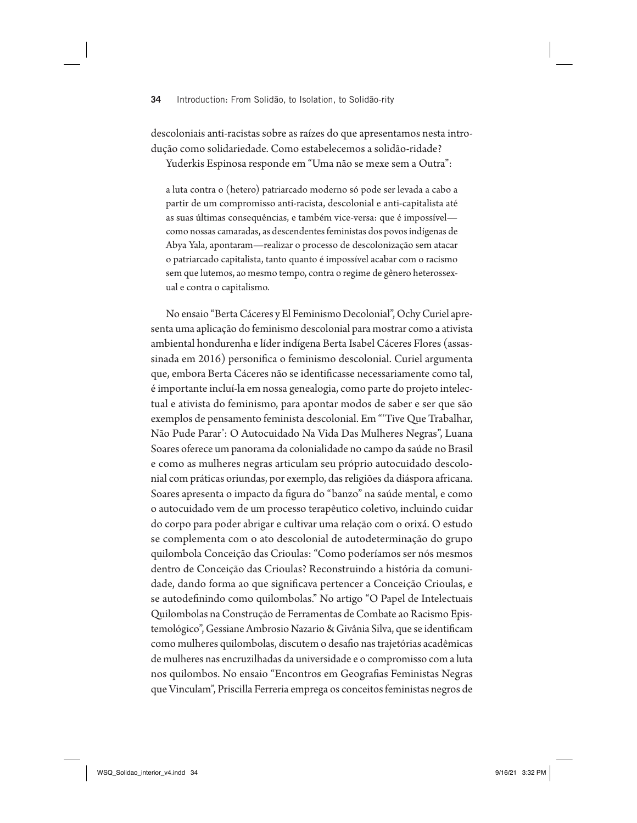descoloniais anti-racistas sobre as raízes do que apresentamos nesta introdução como solidariedade. Como estabelecemos a solidão-ridade?

Yuderkis Espinosa responde em "Uma não se mexe sem a Outra":

a luta contra o (hetero) patriarcado moderno só pode ser levada a cabo a partir de um compromisso anti-racista, descolonial e anti-capitalista até as suas últimas consequências, e também vice-versa: que é impossível como nossas camaradas, as descendentes feministas dos povos indígenas de Abya Yala, apontaram—realizar o processo de descolonização sem atacar o patriarcado capitalista, tanto quanto é impossível acabar com o racismo sem que lutemos, ao mesmo tempo, contra o regime de gênero heterossexual e contra o capitalismo.

No ensaio "Berta Cáceres y El Feminismo Decolonial", Ochy Curiel apresenta uma aplicação do feminismo descolonial para mostrar como a ativista ambiental hondurenha e líder indígena Berta Isabel Cáceres Flores (assassinada em 2016) personifica o feminismo descolonial. Curiel argumenta que, embora Berta Cáceres não se identificasse necessariamente como tal, é importante incluí-la em nossa genealogia, como parte do projeto intelectual e ativista do feminismo, para apontar modos de saber e ser que são exemplos de pensamento feminista descolonial. Em "'Tive Que Trabalhar, Não Pude Parar': O Autocuidado Na Vida Das Mulheres Negras", Luana Soares oferece um panorama da colonialidade no campo da saúde no Brasil e como as mulheres negras articulam seu próprio autocuidado descolonial com práticas oriundas, por exemplo, das religiões da diáspora africana. Soares apresenta o impacto da !gura do "banzo" na saúde mental, e como o autocuidado vem de um processo terapêutico coletivo, incluindo cuidar do corpo para poder abrigar e cultivar uma relação com o orixá. O estudo se complementa com o ato descolonial de autodeterminação do grupo quilombola Conceição das Crioulas: "Como poderíamos ser nós mesmos dentro de Conceição das Crioulas? Reconstruindo a história da comunidade, dando forma ao que significava pertencer a Conceição Crioulas, e se autodefinindo como quilombolas." No artigo "O Papel de Intelectuais Quilombolas na Construção de Ferramentas de Combate ao Racismo Epistemológico", Gessiane Ambrosio Nazario & Givânia Silva, que se identificam como mulheres quilombolas, discutem o desafio nas trajetórias acadêmicas de mulheres nas encruzilhadas da universidade e o compromisso com a luta nos quilombos. No ensaio "Encontros em Geografias Feministas Negras que Vinculam", Priscilla Ferreria emprega os conceitos feministas negros de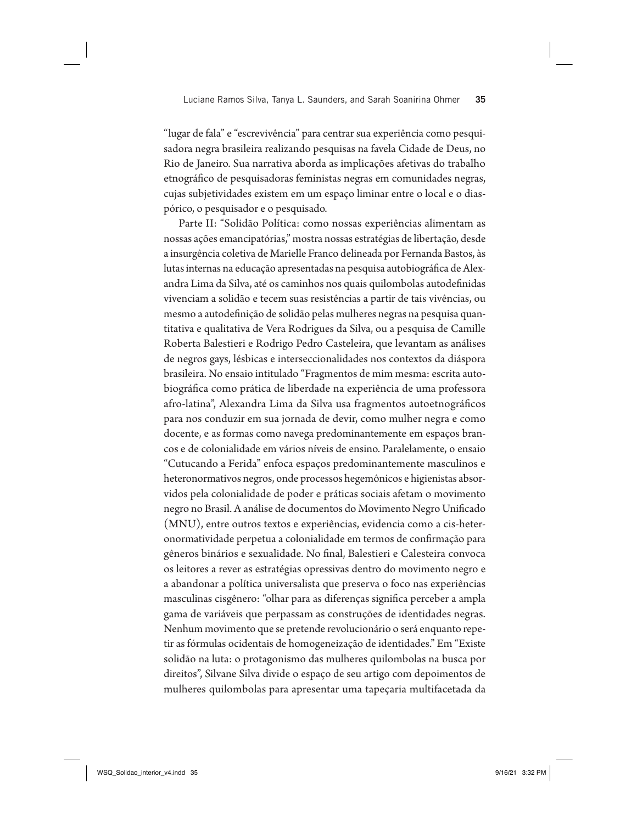"lugar de fala" e "escrevivência" para centrar sua experiência como pesquisadora negra brasileira realizando pesquisas na favela Cidade de Deus, no Rio de Janeiro. Sua narrativa aborda as implicações afetivas do trabalho etnográfico de pesquisadoras feministas negras em comunidades negras, cujas subjetividades existem em um espaço liminar entre o local e o diaspórico, o pesquisador e o pesquisado.

Parte II: "Solidão Política: como nossas experiências alimentam as nossas ações emancipatórias," mostra nossas estratégias de libertação, desde a insurgência coletiva de Marielle Franco delineada por Fernanda Bastos, às lutas internas na educação apresentadas na pesquisa autobiográfica de Alexandra Lima da Silva, até os caminhos nos quais quilombolas autodefinidas vivenciam a solidão e tecem suas resistências a partir de tais vivências, ou mesmo a autodefinição de solidão pelas mulheres negras na pesquisa quantitativa e qualitativa de Vera Rodrigues da Silva, ou a pesquisa de Camille Roberta Balestieri e Rodrigo Pedro Casteleira, que levantam as análises de negros gays, lésbicas e interseccionalidades nos contextos da diáspora brasileira. No ensaio intitulado "Fragmentos de mim mesma: escrita autobiográ!ca como prática de liberdade na experiência de uma professora afro-latina", Alexandra Lima da Silva usa fragmentos autoetnográficos para nos conduzir em sua jornada de devir, como mulher negra e como docente, e as formas como navega predominantemente em espaços brancos e de colonialidade em vários níveis de ensino. Paralelamente, o ensaio "Cutucando a Ferida" enfoca espaços predominantemente masculinos e heteronormativos negros, onde processos hegemônicos e higienistas absorvidos pela colonialidade de poder e práticas sociais afetam o movimento negro no Brasil. A análise de documentos do Movimento Negro Unificado (MNU), entre outros textos e experiências, evidencia como a cis-heteronormatividade perpetua a colonialidade em termos de confirmação para gêneros binários e sexualidade. No final, Balestieri e Calesteira convoca os leitores a rever as estratégias opressivas dentro do movimento negro e a abandonar a política universalista que preserva o foco nas experiências masculinas cisgênero: "olhar para as diferenças significa perceber a ampla gama de variáveis que perpassam as construções de identidades negras. Nenhum movimento que se pretende revolucionário o será enquanto repetir as fórmulas ocidentais de homogeneização de identidades." Em "Existe solidão na luta: o protagonismo das mulheres quilombolas na busca por direitos", Silvane Silva divide o espaço de seu artigo com depoimentos de mulheres quilombolas para apresentar uma tapeçaria multifacetada da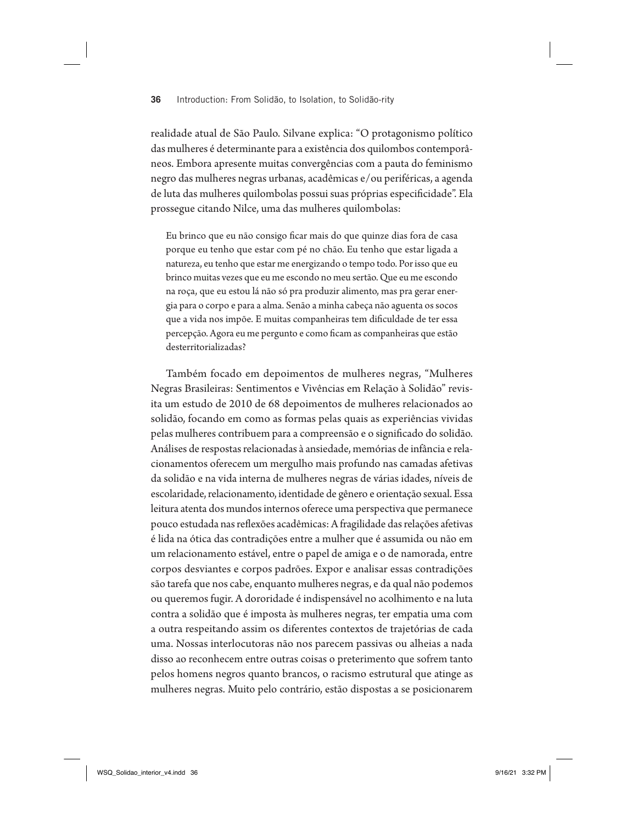realidade atual de São Paulo. Silvane explica: "O protagonismo político das mulheres é determinante para a existência dos quilombos contemporâneos. Embora apresente muitas convergências com a pauta do feminismo negro das mulheres negras urbanas, acadêmicas e/ou periféricas, a agenda de luta das mulheres quilombolas possui suas próprias especificidade". Ela prossegue citando Nilce, uma das mulheres quilombolas:

Eu brinco que eu não consigo ficar mais do que quinze dias fora de casa porque eu tenho que estar com pé no chão. Eu tenho que estar ligada a natureza, eu tenho que estar me energizando o tempo todo. Por isso que eu brinco muitas vezes que eu me escondo no meu sertão. Que eu me escondo na roça, que eu estou lá não só pra produzir alimento, mas pra gerar energia para o corpo e para a alma. Senão a minha cabeça não aguenta os socos que a vida nos impõe. E muitas companheiras tem dificuldade de ter essa percepção. Agora eu me pergunto e como ficam as companheiras que estão desterritorializadas?

Também focado em depoimentos de mulheres negras, "Mulheres Negras Brasileiras: Sentimentos e Vivências em Relação à Solidão" revisita um estudo de 2010 de 68 depoimentos de mulheres relacionados ao solidão, focando em como as formas pelas quais as experiências vividas pelas mulheres contribuem para a compreensão e o significado do solidão. Análises de respostas relacionadas à ansiedade, memórias de infância e relacionamentos oferecem um mergulho mais profundo nas camadas afetivas da solidão e na vida interna de mulheres negras de várias idades, níveis de escolaridade, relacionamento, identidade de gênero e orientação sexual. Essa leitura atenta dos mundos internos oferece uma perspectiva que permanece pouco estudada nas reflexões acadêmicas: A fragilidade das relações afetivas é lida na ótica das contradições entre a mulher que é assumida ou não em um relacionamento estável, entre o papel de amiga e o de namorada, entre corpos desviantes e corpos padrões. Expor e analisar essas contradições são tarefa que nos cabe, enquanto mulheres negras, e da qual não podemos ou queremos fugir. A dororidade é indispensável no acolhimento e na luta contra a solidão que é imposta às mulheres negras, ter empatia uma com a outra respeitando assim os diferentes contextos de trajetórias de cada uma. Nossas interlocutoras não nos parecem passivas ou alheias a nada disso ao reconhecem entre outras coisas o preterimento que sofrem tanto pelos homens negros quanto brancos, o racismo estrutural que atinge as mulheres negras. Muito pelo contrário, estão dispostas a se posicionarem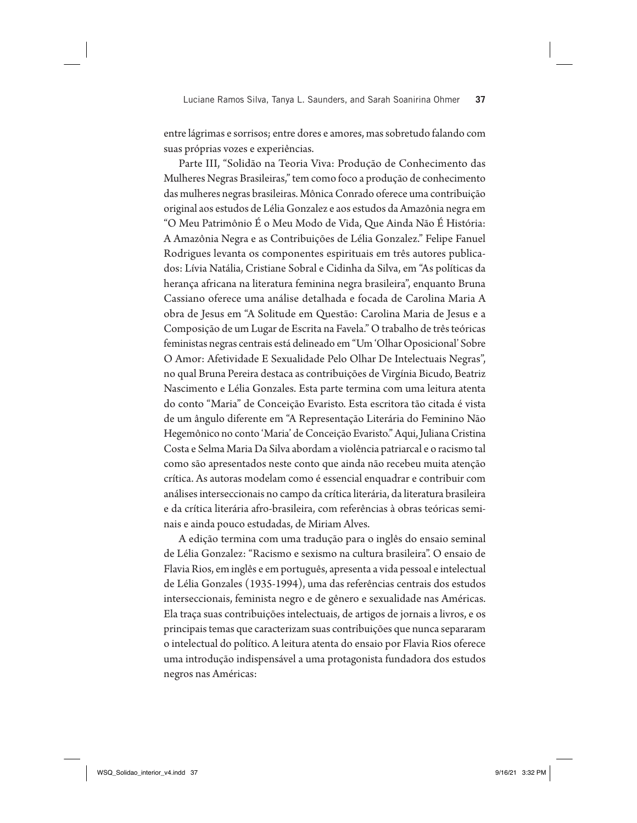entre lágrimas e sorrisos; entre dores e amores, mas sobretudo falando com suas próprias vozes e experiências.

Parte III, "Solidão na Teoria Viva: Produção de Conhecimento das Mulheres Negras Brasileiras," tem como foco a produção de conhecimento das mulheres negras brasileiras. Mônica Conrado oferece uma contribuição original aos estudos de Lélia Gonzalez e aos estudos da Amazônia negra em "O Meu Patrimônio É o Meu Modo de Vida, Que Ainda Não É História: A Amazônia Negra e as Contribuições de Lélia Gonzalez." Felipe Fanuel Rodrigues levanta os componentes espirituais em três autores publicados: Lívia Natália, Cristiane Sobral e Cidinha da Silva, em "As políticas da herança africana na literatura feminina negra brasileira", enquanto Bruna Cassiano oferece uma análise detalhada e focada de Carolina Maria A obra de Jesus em "A Solitude em Questão: Carolina Maria de Jesus e a Composição de um Lugar de Escrita na Favela." O trabalho de três teóricas feministas negras centrais está delineado em "Um 'Olhar Oposicional' Sobre O Amor: Afetividade E Sexualidade Pelo Olhar De Intelectuais Negras", no qual Bruna Pereira destaca as contribuições de Virgínia Bicudo, Beatriz Nascimento e Lélia Gonzales. Esta parte termina com uma leitura atenta do conto "Maria" de Conceição Evaristo. Esta escritora tão citada é vista de um ângulo diferente em "A Representação Literária do Feminino Não Hegemônico no conto 'Maria' de Conceição Evaristo." Aqui, Juliana Cristina Costa e Selma Maria Da Silva abordam a violência patriarcal e o racismo tal como são apresentados neste conto que ainda não recebeu muita atenção crítica. As autoras modelam como é essencial enquadrar e contribuir com análises interseccionais no campo da crítica literária, da literatura brasileira e da crítica literária afro-brasileira, com referências à obras teóricas seminais e ainda pouco estudadas, de Miriam Alves.

A edição termina com uma tradução para o inglês do ensaio seminal de Lélia Gonzalez: "Racismo e sexismo na cultura brasileira". O ensaio de Flavia Rios, em inglês e em português, apresenta a vida pessoal e intelectual de Lélia Gonzales (1935-1994), uma das referências centrais dos estudos interseccionais, feminista negro e de gênero e sexualidade nas Américas. Ela traça suas contribuições intelectuais, de artigos de jornais a livros, e os principais temas que caracterizam suas contribuições que nunca separaram o intelectual do político. A leitura atenta do ensaio por Flavia Rios oferece uma introdução indispensável a uma protagonista fundadora dos estudos negros nas Américas: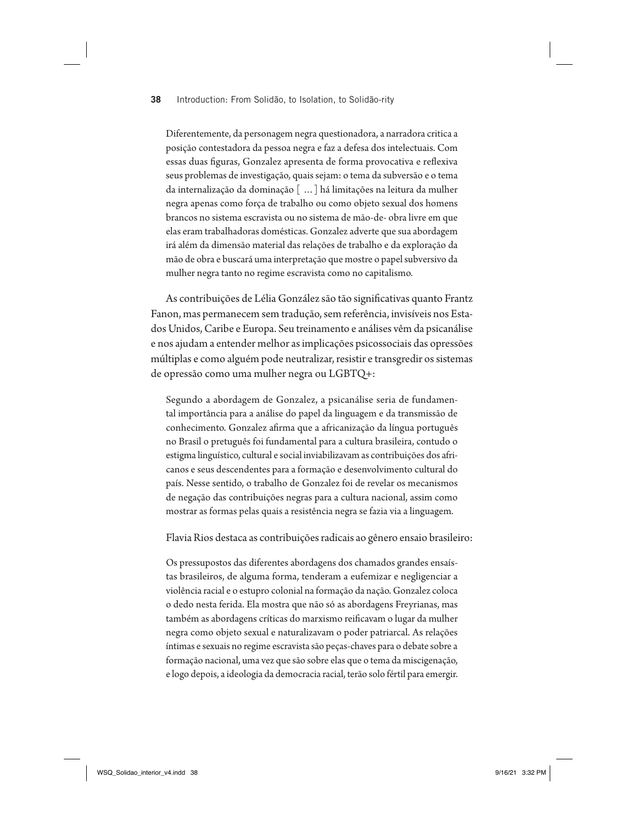Diferentemente, da personagem negra questionadora, a narradora critica a posição contestadora da pessoa negra e faz a defesa dos intelectuais. Com essas duas figuras, Gonzalez apresenta de forma provocativa e reflexiva seus problemas de investigação, quais sejam: o tema da subversão e o tema da internalização da dominação [ …] há limitações na leitura da mulher negra apenas como força de trabalho ou como objeto sexual dos homens brancos no sistema escravista ou no sistema de mão-de- obra livre em que elas eram trabalhadoras domésticas. Gonzalez adverte que sua abordagem irá além da dimensão material das relações de trabalho e da exploração da mão de obra e buscará uma interpretação que mostre o papel subversivo da mulher negra tanto no regime escravista como no capitalismo.

As contribuições de Lélia González são tão significativas quanto Frantz Fanon, mas permanecem sem tradução, sem referência, invisíveis nos Estados Unidos, Caribe e Europa. Seu treinamento e análises vêm da psicanálise e nos ajudam a entender melhor as implicações psicossociais das opressões múltiplas e como alguém pode neutralizar, resistir e transgredir os sistemas de opressão como uma mulher negra ou LGBTQ+:

Segundo a abordagem de Gonzalez, a psicanálise seria de fundamental importância para a análise do papel da linguagem e da transmissão de conhecimento. Gonzalez afirma que a africanização da língua português no Brasil o pretuguês foi fundamental para a cultura brasileira, contudo o estigma linguístico, cultural e social inviabilizavam as contribuições dos africanos e seus descendentes para a formação e desenvolvimento cultural do país. Nesse sentido, o trabalho de Gonzalez foi de revelar os mecanismos de negação das contribuições negras para a cultura nacional, assim como mostrar as formas pelas quais a resistência negra se fazia via a linguagem.

Flavia Rios destaca as contribuições radicais ao gênero ensaio brasileiro:

Os pressupostos das diferentes abordagens dos chamados grandes ensaístas brasileiros, de alguma forma, tenderam a eufemizar e negligenciar a violência racial e o estupro colonial na formação da nação. Gonzalez coloca o dedo nesta ferida. Ela mostra que não só as abordagens Freyrianas, mas também as abordagens críticas do marxismo reificavam o lugar da mulher negra como objeto sexual e naturalizavam o poder patriarcal. As relações íntimas e sexuais no regime escravista são peças-chaves para o debate sobre a formação nacional, uma vez que são sobre elas que o tema da miscigenação, e logo depois, a ideologia da democracia racial, terão solo fértil para emergir.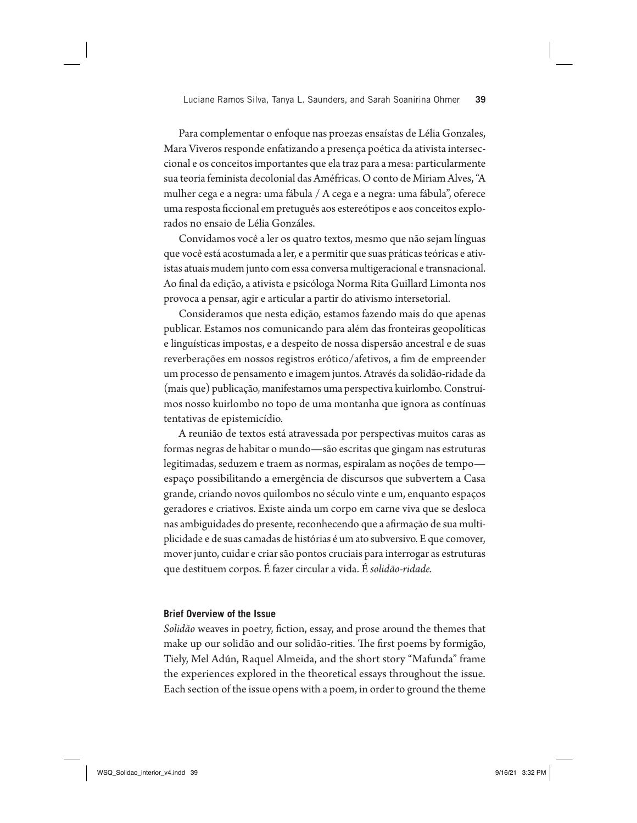Para complementar o enfoque nas proezas ensaístas de Lélia Gonzales, Mara Viveros responde enfatizando a presença poética da ativista interseccional e os conceitos importantes que ela traz para a mesa: particularmente sua teoria feminista decolonial das Améfricas. O conto de Miriam Alves, "A mulher cega e a negra: uma fábula / A cega e a negra: uma fábula", oferece uma resposta ficcional em pretuguês aos estereótipos e aos conceitos explorados no ensaio de Lélia Gonzáles.

Convidamos você a ler os quatro textos, mesmo que não sejam línguas que você está acostumada a ler, e a permitir que suas práticas teóricas e ativistas atuais mudem junto com essa conversa multigeracional e transnacional. Ao !nal da edição, a ativista e psicóloga Norma Rita Guillard Limonta nos provoca a pensar, agir e articular a partir do ativismo intersetorial.

Consideramos que nesta edição, estamos fazendo mais do que apenas publicar. Estamos nos comunicando para além das fronteiras geopolíticas e linguísticas impostas, e a despeito de nossa dispersão ancestral e de suas reverberações em nossos registros erótico/afetivos, a fim de empreender um processo de pensamento e imagem juntos. Através da solidão-ridade da (mais que) publicação, manifestamos uma perspectiva kuirlombo. Construímos nosso kuirlombo no topo de uma montanha que ignora as contínuas tentativas de epistemicídio.

A reunião de textos está atravessada por perspectivas muitos caras as formas negras de habitar o mundo—são escritas que gingam nas estruturas legitimadas, seduzem e traem as normas, espiralam as noções de tempo espaço possibilitando a emergência de discursos que subvertem a Casa grande, criando novos quilombos no século vinte e um, enquanto espaços geradores e criativos. Existe ainda um corpo em carne viva que se desloca nas ambiguidades do presente, reconhecendo que a afirmação de sua multiplicidade e de suas camadas de histórias é um ato subversivo. E que comover, mover junto, cuidar e criar são pontos cruciais para interrogar as estruturas que destituem corpos. É fazer circular a vida. É *solidão-ridade.*

#### **Brief Overview of the Issue**

*Solidão* weaves in poetry, fiction, essay, and prose around the themes that make up our solidão and our solidão-rities. The first poems by formigão, Tiely, Mel Adún, Raquel Almeida, and the short story "Mafunda" frame the experiences explored in the theoretical essays throughout the issue. Each section of the issue opens with a poem, in order to ground the theme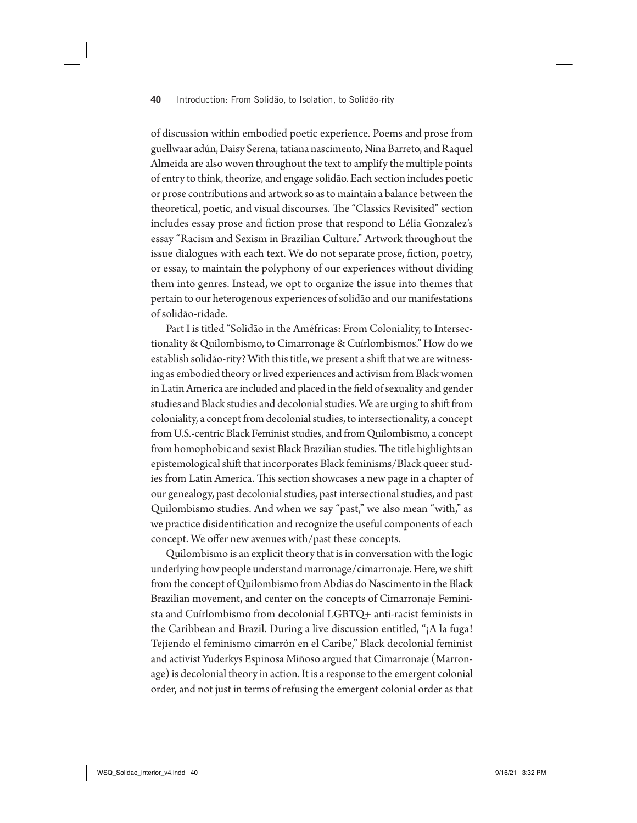of discussion within embodied poetic experience. Poems and prose from guellwaar adún, Daisy Serena, tatiana nascimento, Nina Barreto, and Raquel Almeida are also woven throughout the text to amplify the multiple points of entry to think, theorize, and engage solidão. Each section includes poetic or prose contributions and artwork so as to maintain a balance between the theoretical, poetic, and visual discourses. The "Classics Revisited" section includes essay prose and fiction prose that respond to Lélia Gonzalez's essay "Racism and Sexism in Brazilian Culture." Artwork throughout the issue dialogues with each text. We do not separate prose, fiction, poetry, or essay, to maintain the polyphony of our experiences without dividing them into genres. Instead, we opt to organize the issue into themes that pertain to our heterogenous experiences of solidão and our manifestations of solidão-ridade.

Part I is titled "Solidão in the Améfricas: From Coloniality, to Intersectionality & Quilombismo, to Cimarronage & Cuírlombismos." How do we establish solidão-rity? With this title, we present a shift that we are witnessing as embodied theory or lived experiences and activism from Black women in Latin America are included and placed in the field of sexuality and gender studies and Black studies and decolonial studies. We are urging to shift from coloniality, a concept from decolonial studies, to intersectionality, a concept from U.S.-centric Black Feminist studies, and from Quilombismo, a concept from homophobic and sexist Black Brazilian studies. The title highlights an epistemological shift that incorporates Black feminisms/Black queer studies from Latin America. This section showcases a new page in a chapter of our genealogy, past decolonial studies, past intersectional studies, and past Quilombismo studies. And when we say "past," we also mean "with," as we practice disidentification and recognize the useful components of each concept. We offer new avenues with/past these concepts.

Quilombismo is an explicit theory that is in conversation with the logic underlying how people understand marronage/cimarronaje. Here, we shift from the concept of Quilombismo from Abdias do Nascimento in the Black Brazilian movement, and center on the concepts of Cimarronaje Feminista and Cuírlombismo from decolonial LGBTQ+ anti-racist feminists in the Caribbean and Brazil. During a live discussion entitled, "¡A la fuga! Tejiendo el feminismo cimarrón en el Caribe," Black decolonial feminist and activist Yuderkys Espinosa Miñoso argued that Cimarronaje (Marronage) is decolonial theory in action. It is a response to the emergent colonial order, and not just in terms of refusing the emergent colonial order as that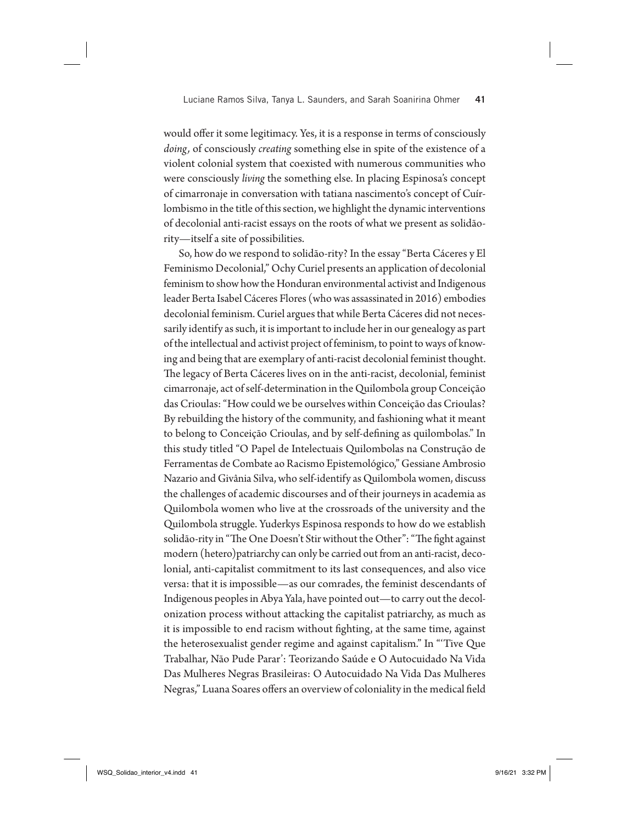would offer it some legitimacy. Yes, it is a response in terms of consciously *doing,* of consciously *creating* something else in spite of the existence of a violent colonial system that coexisted with numerous communities who were consciously *living* the something else. In placing Espinosa's concept of cimarronaje in conversation with tatiana nascimento's concept of Cuírlombismo in the title of this section, we highlight the dynamic interventions of decolonial anti-racist essays on the roots of what we present as solidãority—itself a site of possibilities.

So, how do we respond to solidão-rity? In the essay "Berta Cáceres y El Feminismo Decolonial," Ochy Curiel presents an application of decolonial feminism to show how the Honduran environmental activist and Indigenous leader Berta Isabel Cáceres Flores (who was assassinated in 2016) embodies decolonial feminism. Curiel argues that while Berta Cáceres did not necessarily identify as such, it is important to include her in our genealogy as part of the intellectual and activist project of feminism, to point to ways of knowing and being that are exemplary of anti-racist decolonial feminist thought. The legacy of Berta Cáceres lives on in the anti-racist, decolonial, feminist cimarronaje, act of self-determination in the Quilombola group Conceição das Crioulas: "How could we be ourselves within Conceição das Crioulas? By rebuilding the history of the community, and fashioning what it meant to belong to Conceição Crioulas, and by self-defining as quilombolas." In this study titled "O Papel de Intelectuais Quilombolas na Construção de Ferramentas de Combate ao Racismo Epistemológico," Gessiane Ambrosio Nazario and Givânia Silva, who self-identify as Quilombola women, discuss the challenges of academic discourses and of their journeys in academia as Quilombola women who live at the crossroads of the university and the Quilombola struggle. Yuderkys Espinosa responds to how do we establish solidão-rity in "The One Doesn't Stir without the Other": "The fight against modern (hetero)patriarchy can only be carried out from an anti-racist, decolonial, anti-capitalist commitment to its last consequences, and also vice versa: that it is impossible—as our comrades, the feminist descendants of Indigenous peoples in Abya Yala, have pointed out—to carry out the decolonization process without attacking the capitalist patriarchy, as much as it is impossible to end racism without fighting, at the same time, against the heterosexualist gender regime and against capitalism." In "'Tive Que Trabalhar, Não Pude Parar': Teorizando Saúde e O Autocuidado Na Vida Das Mulheres Negras Brasileiras: O Autocuidado Na Vida Das Mulheres Negras," Luana Soares offers an overview of coloniality in the medical field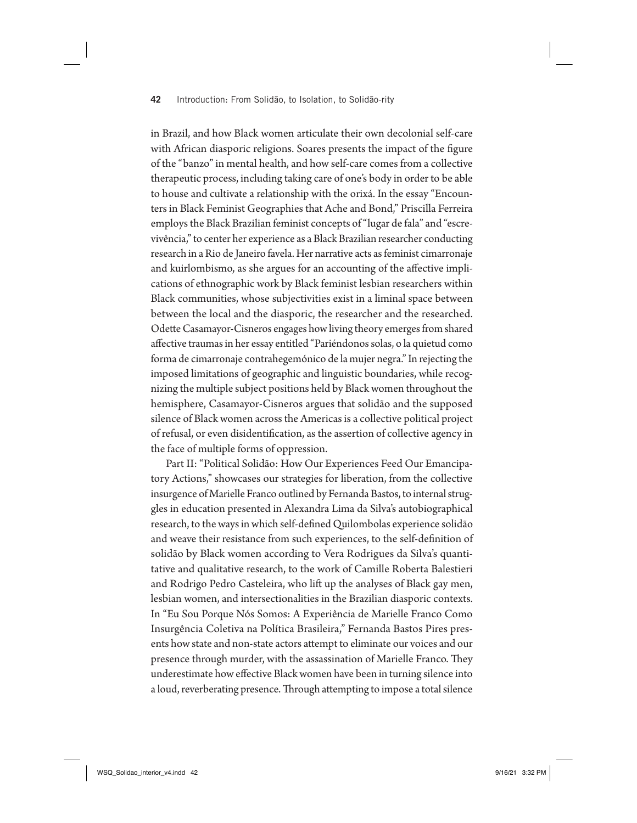in Brazil, and how Black women articulate their own decolonial self-care with African diasporic religions. Soares presents the impact of the figure of the "banzo" in mental health, and how self-care comes from a collective therapeutic process, including taking care of one's body in order to be able to house and cultivate a relationship with the orixá. In the essay "Encounters in Black Feminist Geographies that Ache and Bond," Priscilla Ferreira employs the Black Brazilian feminist concepts of "lugar de fala" and "escrevivência," to center her experience as a Black Brazilian researcher conducting research in a Rio de Janeiro favela. Her narrative acts as feminist cimarronaje and kuirlombismo, as she argues for an accounting of the affective implications of ethnographic work by Black feminist lesbian researchers within Black communities, whose subjectivities exist in a liminal space between between the local and the diasporic, the researcher and the researched. Odette Casamayor-Cisneros engages how living theory emerges from shared affective traumas in her essay entitled "Pariéndonos solas, o la quietud como forma de cimarronaje contrahegemónico de la mujer negra." In rejecting the imposed limitations of geographic and linguistic boundaries, while recognizing the multiple subject positions held by Black women throughout the hemisphere, Casamayor-Cisneros argues that solidão and the supposed silence of Black women across the Americas is a collective political project of refusal, or even disidentification, as the assertion of collective agency in the face of multiple forms of oppression.

Part II: "Political Solidão: How Our Experiences Feed Our Emancipatory Actions," showcases our strategies for liberation, from the collective insurgence of Marielle Franco outlined by Fernanda Bastos, to internal struggles in education presented in Alexandra Lima da Silva's autobiographical research, to the ways in which self-defined Quilombolas experience solidão and weave their resistance from such experiences, to the self-definition of solidão by Black women according to Vera Rodrigues da Silva's quantitative and qualitative research, to the work of Camille Roberta Balestieri and Rodrigo Pedro Casteleira, who lift up the analyses of Black gay men, lesbian women, and intersectionalities in the Brazilian diasporic contexts. In "Eu Sou Porque Nós Somos: A Experiência de Marielle Franco Como Insurgência Coletiva na Política Brasileira," Fernanda Bastos Pires presents how state and non-state actors attempt to eliminate our voices and our presence through murder, with the assassination of Marielle Franco. They underestimate how effective Black women have been in turning silence into a loud, reverberating presence. Through attempting to impose a total silence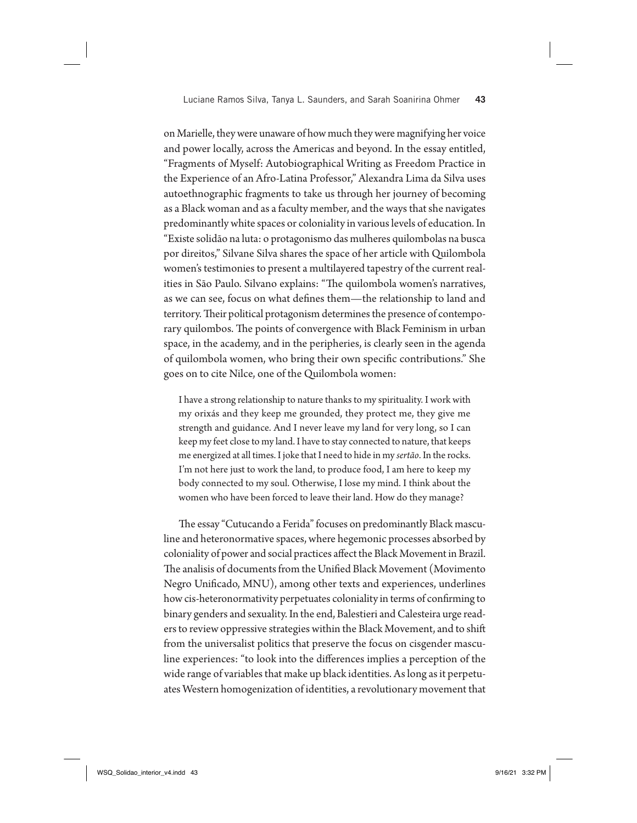on Marielle, they were unaware of how much they were magnifying her voice and power locally, across the Americas and beyond. In the essay entitled, "Fragments of Myself: Autobiographical Writing as Freedom Practice in the Experience of an Afro-Latina Professor," Alexandra Lima da Silva uses autoethnographic fragments to take us through her journey of becoming as a Black woman and as a faculty member, and the ways that she navigates predominantly white spaces or coloniality in various levels of education. In "Existe solidão na luta: o protagonismo das mulheres quilombolas na busca por direitos," Silvane Silva shares the space of her article with Quilombola women's testimonies to present a multilayered tapestry of the current realities in São Paulo. Silvano explains: "The quilombola women's narratives, as we can see, focus on what defines them—the relationship to land and territory. Their political protagonism determines the presence of contemporary quilombos. The points of convergence with Black Feminism in urban space, in the academy, and in the peripheries, is clearly seen in the agenda of quilombola women, who bring their own specific contributions." She goes on to cite Nilce, one of the Quilombola women:

I have a strong relationship to nature thanks to my spirituality. I work with my orixás and they keep me grounded, they protect me, they give me strength and guidance. And I never leave my land for very long, so I can keep my feet close to my land. I have to stay connected to nature, that keeps me energized at all times. I joke that I need to hide in my *sertão*. In the rocks. I'm not here just to work the land, to produce food, I am here to keep my body connected to my soul. Otherwise, I lose my mind. I think about the women who have been forced to leave their land. How do they manage?

The essay "Cutucando a Ferida" focuses on predominantly Black masculine and heteronormative spaces, where hegemonic processes absorbed by coloniality of power and social practices affect the Black Movement in Brazil. The analisis of documents from the Unified Black Movement (Movimento Negro Unificado, MNU), among other texts and experiences, underlines how cis-heteronormativity perpetuates coloniality in terms of confirming to binary genders and sexuality. In the end, Balestieri and Calesteira urge readers to review oppressive strategies within the Black Movement, and to shift from the universalist politics that preserve the focus on cisgender masculine experiences: "to look into the differences implies a perception of the wide range of variables that make up black identities. As long as it perpetuates Western homogenization of identities, a revolutionary movement that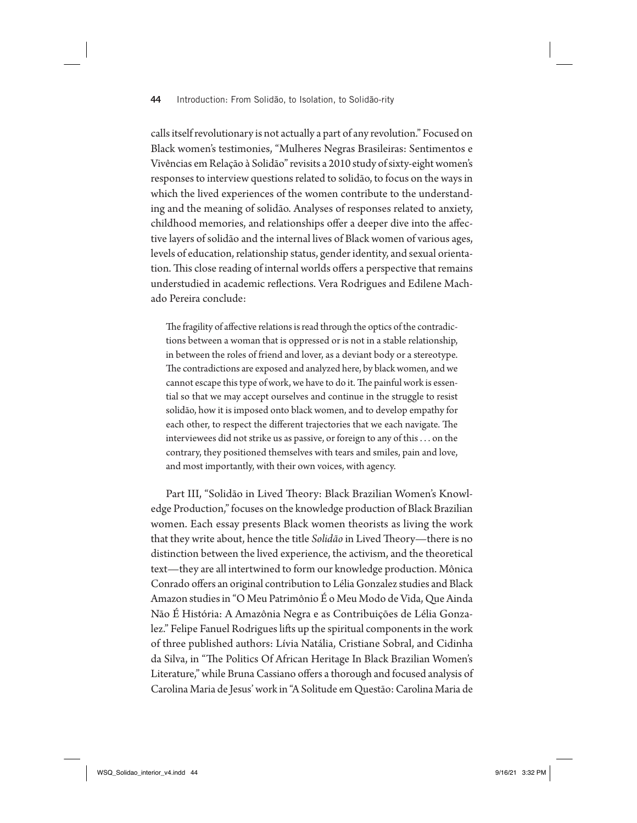calls itself revolutionary is not actually a part of any revolution." Focused on Black women's testimonies, "Mulheres Negras Brasileiras: Sentimentos e Vivências em Relação à Solidão" revisits a 2010 study of sixty-eight women's responses to interview questions related to solidão, to focus on the ways in which the lived experiences of the women contribute to the understanding and the meaning of solidão. Analyses of responses related to anxiety, childhood memories, and relationships offer a deeper dive into the affective layers of solidão and the internal lives of Black women of various ages, levels of education, relationship status, gender identity, and sexual orientation. This close reading of internal worlds offers a perspective that remains understudied in academic reflections. Vera Rodrigues and Edilene Machado Pereira conclude:

The fragility of affective relations is read through the optics of the contradictions between a woman that is oppressed or is not in a stable relationship, in between the roles of friend and lover, as a deviant body or a stereotype. The contradictions are exposed and analyzed here, by black women, and we cannot escape this type of work, we have to do it. The painful work is essential so that we may accept ourselves and continue in the struggle to resist solidão, how it is imposed onto black women, and to develop empathy for each other, to respect the different trajectories that we each navigate. The interviewees did not strike us as passive, or foreign to any of this . . . on the contrary, they positioned themselves with tears and smiles, pain and love, and most importantly, with their own voices, with agency.

Part III, "Solidão in Lived Theory: Black Brazilian Women's Knowledge Production," focuses on the knowledge production of Black Brazilian women. Each essay presents Black women theorists as living the work that they write about, hence the title *Solidão* in Lived Theory—there is no distinction between the lived experience, the activism, and the theoretical text—they are all intertwined to form our knowledge production. Mônica Conrado offers an original contribution to Lélia Gonzalez studies and Black Amazon studies in "O Meu Patrimônio É o Meu Modo de Vida, Que Ainda Não É História: A Amazônia Negra e as Contribuições de Lélia Gonzalez." Felipe Fanuel Rodrigues lifts up the spiritual components in the work of three published authors: Lívia Natália, Cristiane Sobral, and Cidinha da Silva, in "The Politics Of African Heritage In Black Brazilian Women's Literature," while Bruna Cassiano offers a thorough and focused analysis of Carolina Maria de Jesus' work in "A Solitude em Questão: Carolina Maria de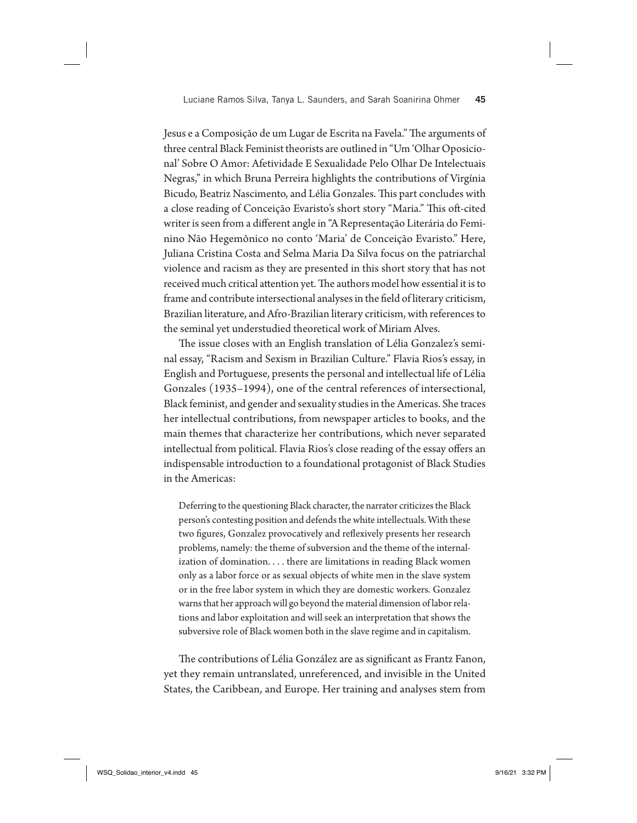Jesus e a Composição de um Lugar de Escrita na Favela." The arguments of three central Black Feminist theorists are outlined in "Um 'Olhar Oposicional' Sobre O Amor: Afetividade E Sexualidade Pelo Olhar De Intelectuais Negras," in which Bruna Perreira highlights the contributions of Virgínia Bicudo, Beatriz Nascimento, and Lélia Gonzales. This part concludes with a close reading of Conceição Evaristo's short story "Maria." This oft-cited writer is seen from a different angle in "A Representação Literária do Feminino Não Hegemônico no conto 'Maria' de Conceição Evaristo." Here, Juliana Cristina Costa and Selma Maria Da Silva focus on the patriarchal violence and racism as they are presented in this short story that has not received much critical attention yet. The authors model how essential it is to frame and contribute intersectional analyses in the field of literary criticism, Brazilian literature, and Afro-Brazilian literary criticism, with references to the seminal yet understudied theoretical work of Miriam Alves.

The issue closes with an English translation of Lélia Gonzalez's seminal essay, "Racism and Sexism in Brazilian Culture." Flavia Rios's essay, in English and Portuguese, presents the personal and intellectual life of Lélia Gonzales (1935–1994), one of the central references of intersectional, Black feminist, and gender and sexuality studies in the Americas. She traces her intellectual contributions, from newspaper articles to books, and the main themes that characterize her contributions, which never separated intellectual from political. Flavia Rios's close reading of the essay offers an indispensable introduction to a foundational protagonist of Black Studies in the Americas:

Deferring to the questioning Black character, the narrator criticizes the Black person's contesting position and defends the white intellectuals. With these two figures, Gonzalez provocatively and reflexively presents her research problems, namely: the theme of subversion and the theme of the internalization of domination. . . . there are limitations in reading Black women only as a labor force or as sexual objects of white men in the slave system or in the free labor system in which they are domestic workers. Gonzalez warns that her approach will go beyond the material dimension of labor relations and labor exploitation and will seek an interpretation that shows the subversive role of Black women both in the slave regime and in capitalism.

The contributions of Lélia González are as significant as Frantz Fanon, yet they remain untranslated, unreferenced, and invisible in the United States, the Caribbean, and Europe. Her training and analyses stem from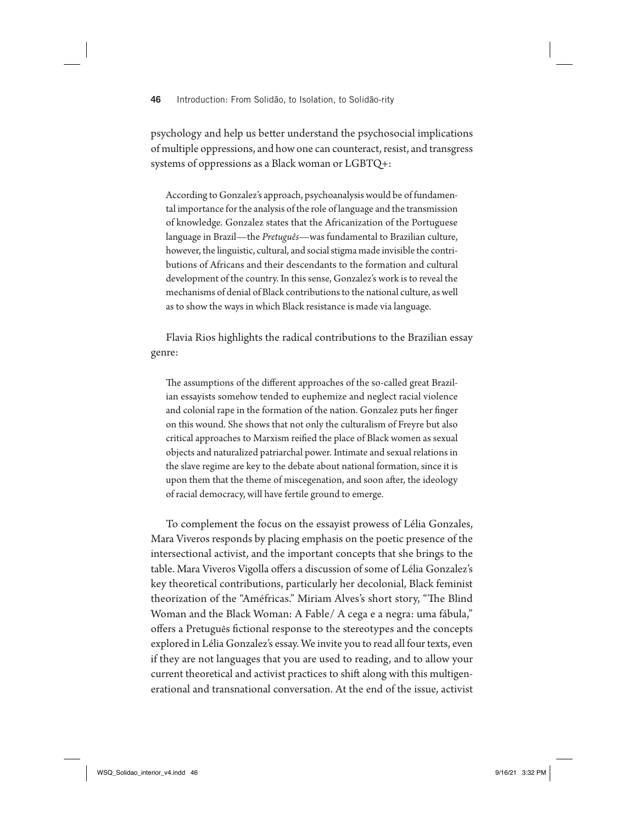psychology and help us better understand the psychosocial implications of multiple oppressions, and how one can counteract, resist, and transgress systems of oppressions as a Black woman or LGBTQ+:

According to Gonzalez's approach, psychoanalysis would be of fundamental importance for the analysis of the role of language and the transmission of knowledge. Gonzalez states that the Africanization of the Portuguese language in Brazil—the *Pretuguês*—was fundamental to Brazilian culture, however, the linguistic, cultural, and social stigma made invisible the contributions of Africans and their descendants to the formation and cultural development of the country. In this sense, Gonzalez's work is to reveal the mechanisms of denial of Black contributions to the national culture, as well as to show the ways in which Black resistance is made via language.

Flavia Rios highlights the radical contributions to the Brazilian essay genre:

The assumptions of the different approaches of the so-called great Brazilian essayists somehow tended to euphemize and neglect racial violence and colonial rape in the formation of the nation. Gonzalez puts her finger on this wound. She shows that not only the culturalism of Freyre but also critical approaches to Marxism reified the place of Black women as sexual objects and naturalized patriarchal power. Intimate and sexual relations in the slave regime are key to the debate about national formation, since it is upon them that the theme of miscegenation, and soon after, the ideology of racial democracy, will have fertile ground to emerge.

To complement the focus on the essayist prowess of Lélia Gonzales, Mara Viveros responds by placing emphasis on the poetic presence of the intersectional activist, and the important concepts that she brings to the table. Mara Viveros Vigolla offers a discussion of some of Lélia Gonzalez's key theoretical contributions, particularly her decolonial, Black feminist theorization of the "Améfricas." Miriam Alves's short story, "The Blind Woman and the Black Woman: A Fable/ A cega e a negra: uma fábula," offers a Pretuguês fictional response to the stereotypes and the concepts explored in Lélia Gonzalez's essay. We invite you to read all four texts, even if they are not languages that you are used to reading, and to allow your current theoretical and activist practices to shift along with this multigenerational and transnational conversation. At the end of the issue, activist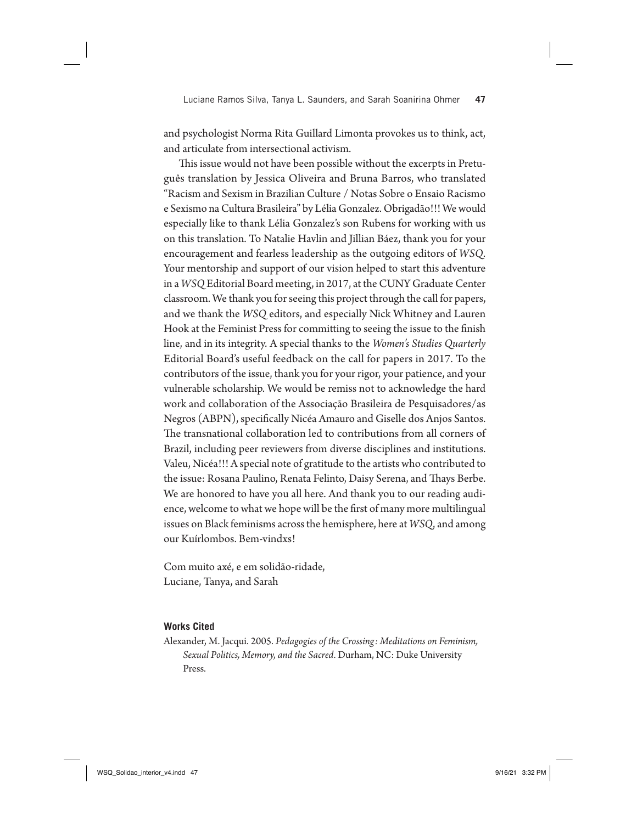and psychologist Norma Rita Guillard Limonta provokes us to think, act, and articulate from intersectional activism.

This issue would not have been possible without the excerpts in Pretuguês translation by Jessica Oliveira and Bruna Barros, who translated "Racism and Sexism in Brazilian Culture / Notas Sobre o Ensaio Racismo e Sexismo na Cultura Brasileira" by Lélia Gonzalez. Obrigadão!!! We would especially like to thank Lélia Gonzalez's son Rubens for working with us on this translation. To Natalie Havlin and Jillian Báez, thank you for your encouragement and fearless leadership as the outgoing editors of *WSQ*. Your mentorship and support of our vision helped to start this adventure in a *WSQ* Editorial Board meeting, in 2017, at the CUNY Graduate Center classroom. We thank you for seeing this project through the call for papers, and we thank the *WSQ* editors, and especially Nick Whitney and Lauren Hook at the Feminist Press for committing to seeing the issue to the finish line, and in its integrity. A special thanks to the *Women's Studies Quarterly* Editorial Board's useful feedback on the call for papers in 2017. To the contributors of the issue, thank you for your rigor, your patience, and your vulnerable scholarship. We would be remiss not to acknowledge the hard work and collaboration of the Associação Brasileira de Pesquisadores/as Negros (ABPN), specifically Nicéa Amauro and Giselle dos Anjos Santos. The transnational collaboration led to contributions from all corners of Brazil, including peer reviewers from diverse disciplines and institutions. Valeu, Nicéa!!! A special note of gratitude to the artists who contributed to the issue: Rosana Paulino, Renata Felinto, Daisy Serena, and Thays Berbe. We are honored to have you all here. And thank you to our reading audience, welcome to what we hope will be the first of many more multilingual issues on Black feminisms across the hemisphere, here at *WSQ*, and among our Kuírlombos. Bem-vindxs!

Com muito axé, e em solidão-ridade, Luciane, Tanya, and Sarah

#### **Works Cited**

Alexander, M. Jacqui. 2005. *Pedagogies of the Crossing: Meditations on Feminism, Sexual Politics, Memory, and the Sacred*. Durham, NC: Duke University Press.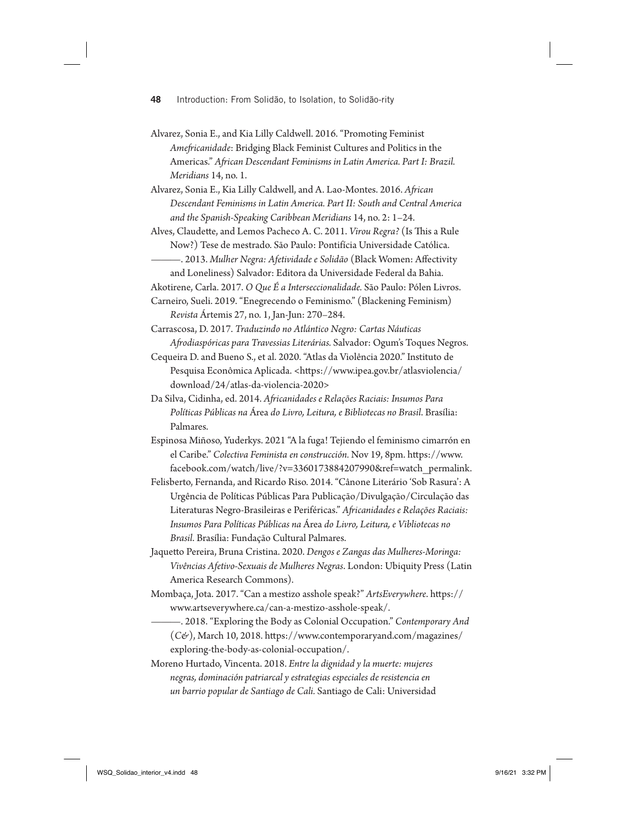- Alvarez, Sonia E., and Kia Lilly Caldwell. 2016. "Promoting Feminist *Ame#icanidade*: Bridging Black Feminist Cultures and Politics in the Americas." *A#ican Descendant Feminisms in Latin America. Part I: Brazil. Meridians* 14, no. 1.
- Alvarez, Sonia E., Kia Lilly Caldwell, and A. Lao-Montes. 2016. *A#ican Descendant Feminisms in Latin America. Part II: South and Central America and the Spanish-Speaking Caribbean Meridians* 14, no. 2: 1–24.

Alves, Claudette, and Lemos Pacheco A. C. 2011. *Virou Regra?* (Is This a Rule Now?) Tese de mestrado. São Paulo: Pontifícia Universidade Católica.

- ———. 2013. *Mulher Negra: Afetividade e Solidão* (Black Women: A"ectivity
- and Loneliness) Salvador: Editora da Universidade Federal da Bahia.

Akotirene, Carla. 2017. *O Que É a Interseccionalidade.* São Paulo: Pólen Livros.

- Carneiro, Sueli. 2019. "Enegrecendo o Feminismo." (Blackening Feminism) *Revista* Ártemis 27, no. 1, Jan-Jun: 270–284.
- Carrascosa, D. 2017. *Traduzindo no Atlántico Negro: Cartas Náuticas A#odiaspóricas para Travessias Literárias.* Salvador: Ogum's Toques Negros.
- Cequeira D. and Bueno S., et al. 2020. "Atlas da Violência 2020." Instituto de Pesquisa Econômica Aplicada. <https://www.ipea.gov.br/atlasviolencia/ download/24/atlas-da-violencia-2020>
- Da Silva, Cidinha, ed. 2014. *A#icanidades e Relações Raciais: Insumos Para Políticas Públicas na* Área *do Livro, Leitura, e Bibliotecas no Brasil*. Brasília: Palmares.
- Espinosa Miñoso, Yuderkys. 2021 "A la fuga! Tejiendo el feminismo cimarrón en el Caribe." *Colectiva Feminista en construcción*. Nov 19, 8pm. https://www. facebook.com/watch/live/?v=3360173884207990&ref=watch\_permalink.
- Felisberto, Fernanda, and Ricardo Riso. 2014. "Cânone Literário 'Sob Rasura': A Urgência de Políticas Públicas Para Publicação/Divulgação/Circulação das Literaturas Negro-Brasileiras e Periféricas." *A#icanidades e Relações Raciais: Insumos Para Políticas Públicas na* Área *do Livro, Leitura, e Vibliotecas no Brasil*. Brasília: Fundação Cultural Palmares.
- Jaquetto Pereira, Bruna Cristina. 2020. *Dengos e Zangas das Mulheres-Moringa*: *Vivências Afetivo-Sexuais de Mulheres Negras*. London: Ubiquity Press (Latin America Research Commons).
- Mombaça, Jota. 2017. "Can a mestizo asshole speak?" ArtsEverywhere. https:// www.artseverywhere.ca/can-a-mestizo-asshole-speak/.
- ———. 2018. "Exploring the Body as Colonial Occupation." *Contemporary And* (C&), March 10, 2018. https://www.contemporaryand.com/magazines/ exploring-the-body-as-colonial-occupation/.
- Moreno Hurtado, Vincenta. 2018. *Entre la dignidad y la muerte: mujeres negras, dominación patriarcal y estrategias especiales de resistencia en un barrio popular de Santiago de Cali.* Santiago de Cali: Universidad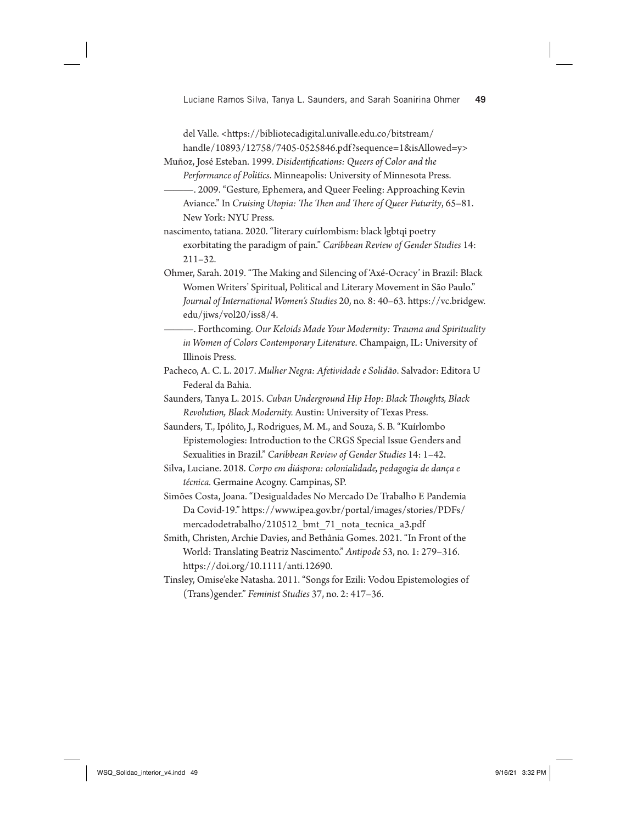Luciane Ramos Silva, Tanya L. Saunders, and Sarah Soanirina Ohmer **49**

del Valle. <https://bibliotecadigital.univalle.edu.co/bitstream/ handle/10893/12758/7405-0525846.pdf?sequence=1&isAllowed=y>

Muñoz, José Esteban. 1999. *Disidenti!cations: Queers of Color and the Performance of Politics*. Minneapolis: University of Minnesota Press.

———. 2009. "Gesture, Ephemera, and Queer Feeling: Approaching Kevin Aviance." In *Cruising Utopia: \$e \$en and \$ere of Queer Futurity*, 65–81. New York: NYU Press.

nascimento, tatiana. 2020. "literary cuírlombism: black lgbtqi poetry exorbitating the paradigm of pain." *Caribbean Review of Gender Studies* 14: 211–32.

Ohmer, Sarah. 2019. "The Making and Silencing of 'Axé-Ocracy' in Brazil: Black Women Writers' Spiritual, Political and Literary Movement in São Paulo." Journal of International Women's Studies 20, no. 8: 40–63. https://vc.bridgew. edu/jiws/vol20/iss8/4.

———. Forthcoming. *Our Keloids Made Your Modernity: Trauma and Spirituality in Women of Colors Contemporary Literature*. Champaign, IL: University of Illinois Press.

Pacheco, A. C. L. 2017. *Mulher Negra: Afetividade e Solidão*. Salvador: Editora U Federal da Bahia.

Saunders, Tanya L. 2015. *Cuban Underground Hip Hop: Black \$oughts, Black Revolution, Black Modernity.* Austin: University of Texas Press.

Saunders, T., Ipólito, J., Rodrigues, M. M., and Souza, S. B. "Kuírlombo Epistemologies: Introduction to the CRGS Special Issue Genders and Sexualities in Brazil." *Caribbean Review of Gender Studies* 14: 1–42.

Silva, Luciane. 2018. *Corpo em diáspora: colonialidade, pedagogia de dança e técnica.* Germaine Acogny. Campinas, SP.

Simões Costa, Joana. "Desigualdades No Mercado De Trabalho E Pandemia Da Covid-19." https://www.ipea.gov.br/portal/images/stories/PDFs/ mercadodetrabalho/210512\_bmt\_71\_nota\_tecnica\_a3.pdf

Smith, Christen, Archie Davies, and Bethânia Gomes. 2021. "In Front of the World: Translating Beatriz Nascimento." *Antipode* 53, no. 1: 279–316. https://doi.org/10.1111/anti.12690.

Tinsley, Omise'eke Natasha. 2011. "Songs for Ezili: Vodou Epistemologies of (Trans)gender." *Feminist Studies* 37, no. 2: 417–36.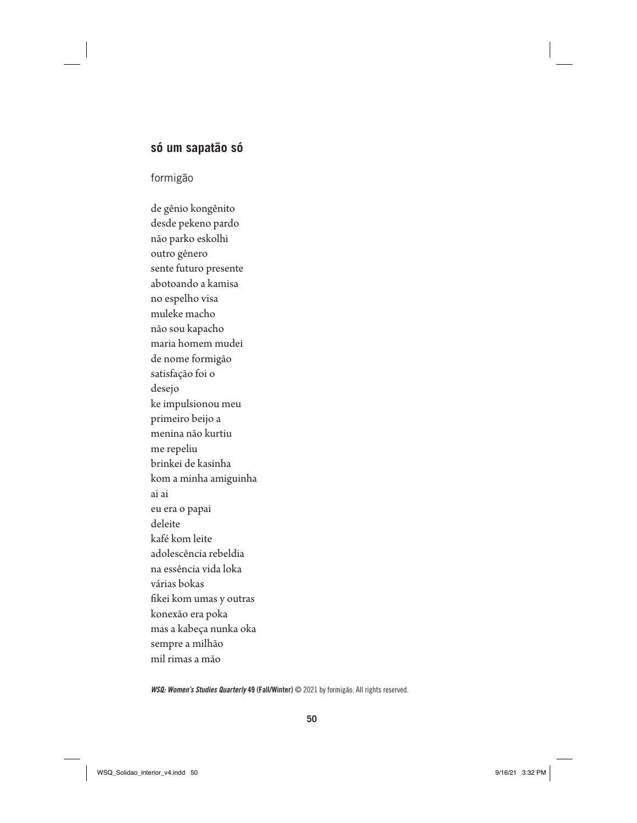# **só um sapatão só**

# formigão

de gênio kongênito desde pekeno pardo não parko eskolhi outro gênero sente futuro presente abotoando a kamisa no espelho visa muleke macho não sou kapacho maria homem mudei de nome formigão satisfação foi o desejo ke impulsionou meu primeiro beijo a menina não kurtiu me repeliu brinkei de kasinha kom a minha amiguinha ai ai eu era o papai deleite kafé kom leite adolescência rebeldia na essência vida loka várias bokas fikei kom umas y outras konexão era poka mas a kabeça nunka oka sempre a milhão mil rimas a mão

*WSQ: Women's Studies Quarterly* 49 (Fall/Winter) © 2021 by formigão. All rights reserved.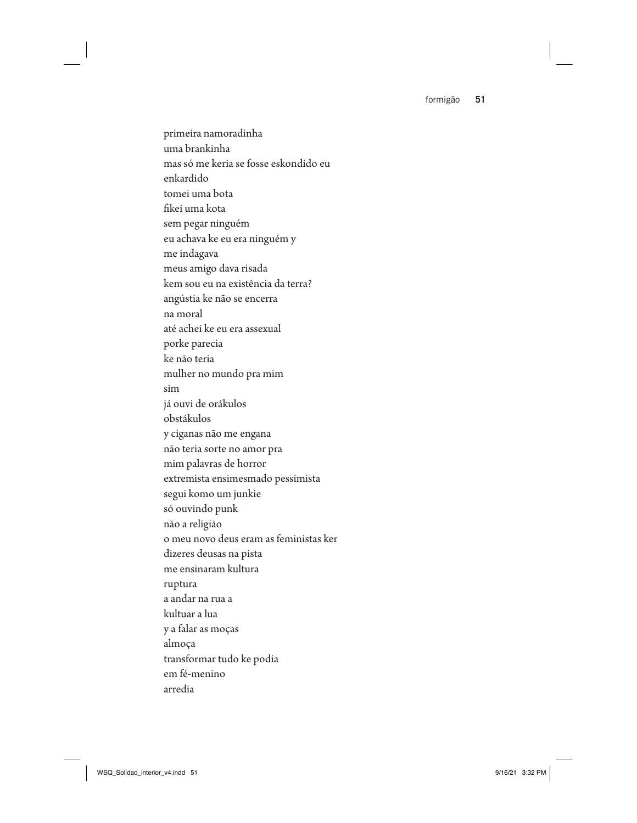formigão **51**

primeira namoradinha uma brankinha mas só me keria se fosse eskondido eu enkardido tomei uma bota fikei uma kota sem pegar ninguém eu achava ke eu era ninguém y me indagava meus amigo dava risada kem sou eu na existência da terra? angústia ke não se encerra na moral até achei ke eu era assexual porke parecia ke não teria mulher no mundo pra mim sim já ouvi de orákulos obstákulos y ciganas não me engana não teria sorte no amor pra mim palavras de horror extremista ensimesmado pessimista segui komo um junkie só ouvindo punk não a religião o meu novo deus eram as feministas ker dizeres deusas na pista me ensinaram kultura ruptura a andar na rua a kultuar a lua y a falar as moças almoça transformar tudo ke podia em fé-menino arredia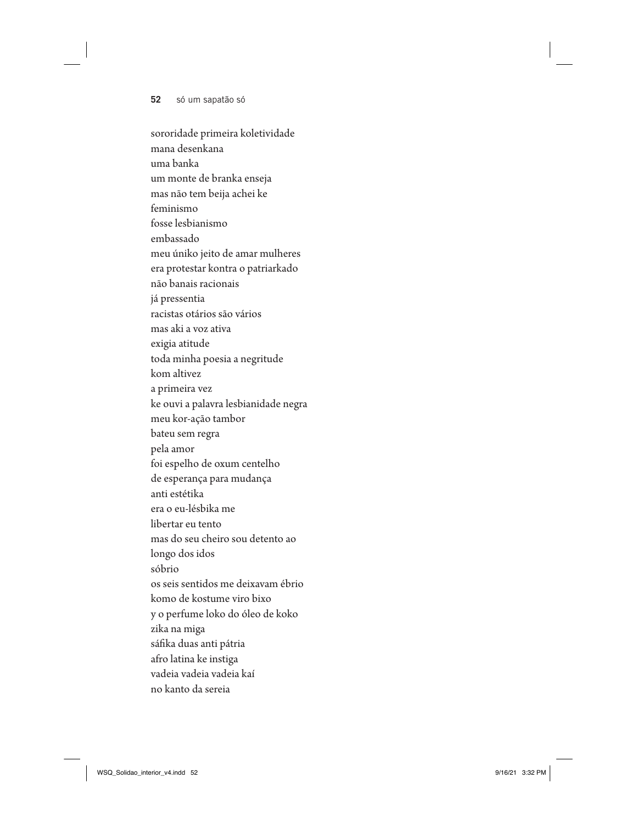## **52** só um sapatão só

sororidade primeira koletividade mana desenkana uma banka um monte de branka enseja mas não tem beija achei ke feminismo fosse lesbianismo embassado meu úniko jeito de amar mulheres era protestar kontra o patriarkado não banais racionais já pressentia racistas otários são vários mas aki a voz ativa exigia atitude toda minha poesia a negritude kom altivez a primeira vez ke ouvi a palavra lesbianidade negra meu kor-ação tambor bateu sem regra pela amor foi espelho de oxum centelho de esperança para mudança anti estétika era o eu-lésbika me libertar eu tento mas do seu cheiro sou detento ao longo dos idos sóbrio os seis sentidos me deixavam ébrio komo de kostume viro bixo y o perfume loko do óleo de koko zika na miga sáfika duas anti pátria afro latina ke instiga vadeia vadeia vadeia kaí no kanto da sereia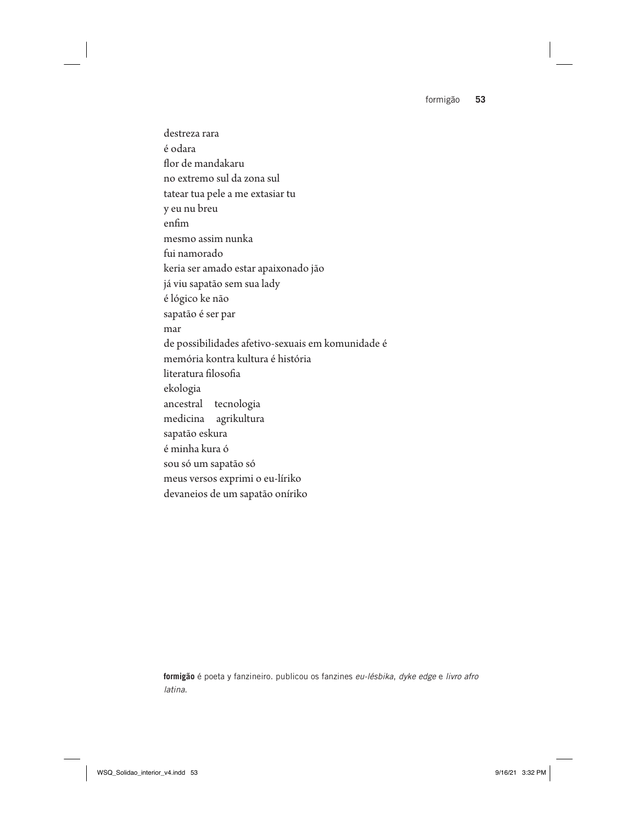formigão **53**

destreza rara é odara flor de mandakaru no extremo sul da zona sul tatear tua pele a me extasiar tu y eu nu breu enfim mesmo assim nunka fui namorado keria ser amado estar apaixonado jão já viu sapatão sem sua lady é lógico ke não sapatão é ser par mar de possibilidades afetivo-sexuais em komunidade é memória kontra kultura é história literatura filosofia ekologia ancestral tecnologia medicina agrikultura sapatão eskura é minha kura ó sou só um sapatão só meus versos exprimi o eu-líriko devaneios de um sapatão oníriko

**formigão** é poeta y fanzineiro. publicou os fanzines *eu-lésbika*, *dyke edge* e *livro afro latina*.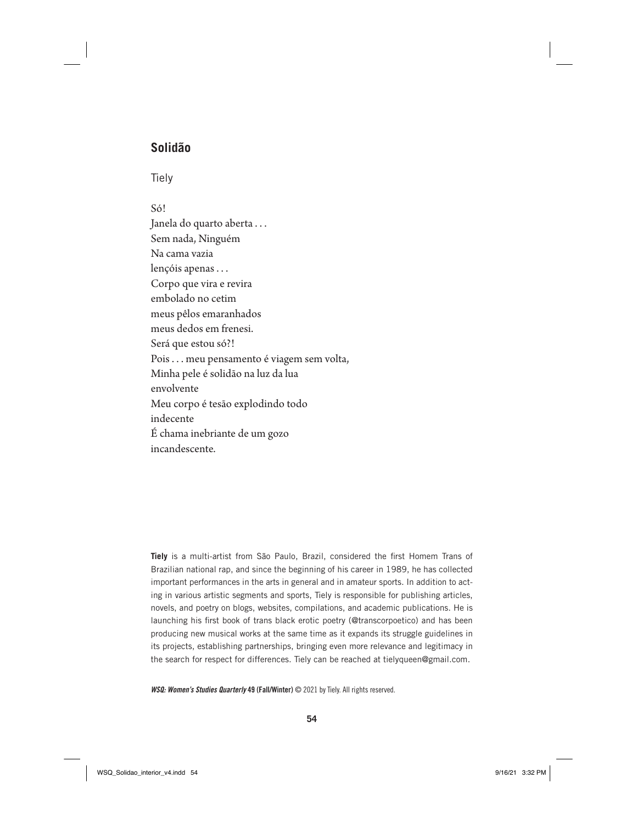# **Solidão**

Tiely

### Só!

Janela do quarto aberta ... Sem nada, Ninguém Na cama vazia lençóis apenas . . . Corpo que vira e revira embolado no cetim meus pêlos emaranhados meus dedos em frenesi. Será que estou só?! Pois . . . meu pensamento é viagem sem volta, Minha pele é solidão na luz da lua envolvente Meu corpo é tesão explodindo todo indecente É chama inebriante de um gozo incandescente.

**Tiely** is a multi-artist from São Paulo, Brazil, considered the first Homem Trans of Brazilian national rap, and since the beginning of his career in 1989, he has collected important performances in the arts in general and in amateur sports. In addition to acting in various artistic segments and sports, Tiely is responsible for publishing articles, novels, and poetry on blogs, websites, compilations, and academic publications. He is launching his first book of trans black erotic poetry (@transcorpoetico) and has been producing new musical works at the same time as it expands its struggle guidelines in its projects, establishing partnerships, bringing even more relevance and legitimacy in the search for respect for differences. Tiely can be reached at tielyqueen@gmail.com.

*WSQ: Women's Studies Quarterly* 49 (Fall/Winter) © 2021 by Tiely. All rights reserved.